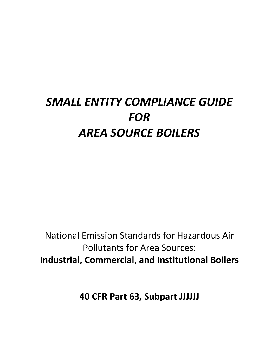# *SMALL ENTITY COMPLIANCE GUIDE*  $FOR$ *AREA SOURCE BOILERS*

National Emission Standards for Hazardous Air Pollutants for Area Sources: **Industrial, Commercial, and Institutional Boilers** 

**40 CFR Part 63, Subpart JJJJJJ**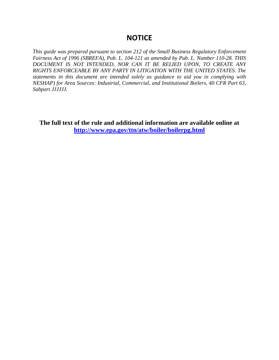## **NOTICE**

*This guide was prepared pursuant to section 212 of the Small Business Regulatory Enforcement Fairness Act of 1996 (SBREFA), Pub. L. 104-121 as amended by Pub. L. Number 110-28. THIS DOCUMENT IS NOT INTENDED, NOR CAN IT BE RELIED UPON, TO CREATE ANY RIGHTS ENFORCEABLE BY ANY PARTY IN LITIGATION WITH THE UNITED STATES. The statements in this document are intended solely as guidance to aid you in complying with NESHAP) for Area Sources: Industrial, Commercial, and Institutional Boilers, 40 CFR Part 63, Subpart JJJJJJ.* 

**The full text of the rule and additional information are available online at http://www.epa.gov/ttn/atw/boiler/boilerpg.html**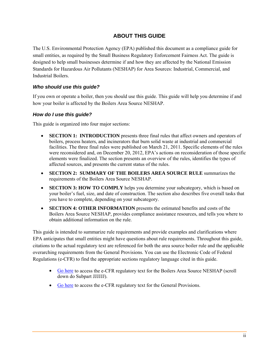## **ABOUT THIS GUIDE**

The U.S. Environmental Protection Agency (EPA) published this document as a compliance guide for small entities, as required by the Small Business Regulatory Enforcement Fairness Act. The guide is designed to help small businesses determine if and how they are affected by the National Emission Standards for Hazardous Air Pollutants (NESHAP) for Area Sources: Industrial, Commercial, and Industrial Boilers.

#### *Who should use this guide?*

If you own or operate a boiler, then you should use this guide. This guide will help you determine if and how your boiler is affected by the Boilers Area Source NESHAP.

#### *How do I use this guide?*

This guide is organized into four major sections:

- **SECTION 1: INTRODUCTION** presents three final rules that affect owners and operators of boilers, process heaters, and incinerators that burn solid waste at industrial and commercial facilities. The three final rules were published on March 21, 2011. Specific elements of the rules were reconsidered and, on December 20, 2012, EPA's actions on reconsideration of those specific elements were finalized. The section presents an overview of the rules, identifies the types of affected sources, and presents the current status of the rules.
- **SECTION 2: SUMMARY OF THE BOILERS AREA SOURCE RULE** summarizes the requirements of the Boilers Area Source NESHAP.
- **SECTION 3: HOW TO COMPLY** helps you determine your subcategory, which is based on your boiler's fuel, size, and date of construction. The section also describes five overall tasks that you have to complete, depending on your subcategory.
- **SECTION 4: OTHER INFORMATION** presents the estimated benefits and costs of the Boilers Area Source NESHAP, provides compliance assistance resources, and tells you where to obtain additional information on the rule.

This guide is intended to summarize rule requirements and provide examples and clarifications where EPA anticipates that small entities might have questions about rule requirements. Throughout this guide, citations to the actual regulatory text are referenced for both the area source boiler rule and the applicable overarching requirements from the General Provisions. You can use the Electronic Code of Federal Regulations (e-CFR) to find the appropriate sections regulatory language cited in this guide.

- Go here to access the e-CFR regulatory text for the Boilers Area Source NESHAP (scroll down do Subpart JJJJJJ).
- Go here to access the e-CFR regulatory text for the General Provisions.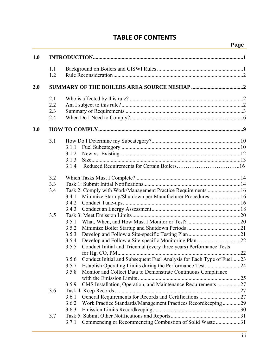## **TABLE OF CONTENTS**

i.

| 1.0<br>1.1<br>1.2<br>2.0<br>2.1<br>2.2<br>2.3<br>2.4<br>3.0<br>3.1<br>3.1.1<br>3.1.2<br>3.1.3<br>3.1.4<br>3.2<br>3.3<br>Task 2: Comply with Work/Management Practice Requirements 16<br>3.4<br>Minimize Startup/Shutdown per Manufacturer Procedures 16<br>3.4.1<br>3.4.2<br>3.4.3<br>3.5<br>3.5.1<br>3.5.2<br>3.5.3<br>3.5.4<br>3.5.5<br>Conduct Initial and Triennial (every three years) Performance Tests<br>for $Hg$ , $CO$ , $PM$<br>Conduct Initial and Subsequent Fuel Analysis for Each Type of Fuel23<br>3.5.6<br>Establish Operating Limits during the Performance Test24<br>3.5.7<br>Monitor and Collect Data to Demonstrate Continuous Compliance<br>3.5.8<br>CMS Installation, Operation, and Maintenance Requirements 27<br>3.5.9<br>3.6 |  |                                                                 | Page |
|---------------------------------------------------------------------------------------------------------------------------------------------------------------------------------------------------------------------------------------------------------------------------------------------------------------------------------------------------------------------------------------------------------------------------------------------------------------------------------------------------------------------------------------------------------------------------------------------------------------------------------------------------------------------------------------------------------------------------------------------------------|--|-----------------------------------------------------------------|------|
|                                                                                                                                                                                                                                                                                                                                                                                                                                                                                                                                                                                                                                                                                                                                                         |  |                                                                 |      |
|                                                                                                                                                                                                                                                                                                                                                                                                                                                                                                                                                                                                                                                                                                                                                         |  |                                                                 |      |
|                                                                                                                                                                                                                                                                                                                                                                                                                                                                                                                                                                                                                                                                                                                                                         |  |                                                                 |      |
|                                                                                                                                                                                                                                                                                                                                                                                                                                                                                                                                                                                                                                                                                                                                                         |  |                                                                 |      |
|                                                                                                                                                                                                                                                                                                                                                                                                                                                                                                                                                                                                                                                                                                                                                         |  |                                                                 |      |
|                                                                                                                                                                                                                                                                                                                                                                                                                                                                                                                                                                                                                                                                                                                                                         |  |                                                                 |      |
|                                                                                                                                                                                                                                                                                                                                                                                                                                                                                                                                                                                                                                                                                                                                                         |  |                                                                 |      |
|                                                                                                                                                                                                                                                                                                                                                                                                                                                                                                                                                                                                                                                                                                                                                         |  |                                                                 |      |
|                                                                                                                                                                                                                                                                                                                                                                                                                                                                                                                                                                                                                                                                                                                                                         |  |                                                                 |      |
|                                                                                                                                                                                                                                                                                                                                                                                                                                                                                                                                                                                                                                                                                                                                                         |  |                                                                 |      |
|                                                                                                                                                                                                                                                                                                                                                                                                                                                                                                                                                                                                                                                                                                                                                         |  |                                                                 |      |
|                                                                                                                                                                                                                                                                                                                                                                                                                                                                                                                                                                                                                                                                                                                                                         |  |                                                                 |      |
|                                                                                                                                                                                                                                                                                                                                                                                                                                                                                                                                                                                                                                                                                                                                                         |  |                                                                 |      |
|                                                                                                                                                                                                                                                                                                                                                                                                                                                                                                                                                                                                                                                                                                                                                         |  |                                                                 |      |
|                                                                                                                                                                                                                                                                                                                                                                                                                                                                                                                                                                                                                                                                                                                                                         |  |                                                                 |      |
|                                                                                                                                                                                                                                                                                                                                                                                                                                                                                                                                                                                                                                                                                                                                                         |  |                                                                 |      |
|                                                                                                                                                                                                                                                                                                                                                                                                                                                                                                                                                                                                                                                                                                                                                         |  |                                                                 |      |
|                                                                                                                                                                                                                                                                                                                                                                                                                                                                                                                                                                                                                                                                                                                                                         |  |                                                                 |      |
|                                                                                                                                                                                                                                                                                                                                                                                                                                                                                                                                                                                                                                                                                                                                                         |  |                                                                 |      |
|                                                                                                                                                                                                                                                                                                                                                                                                                                                                                                                                                                                                                                                                                                                                                         |  |                                                                 |      |
|                                                                                                                                                                                                                                                                                                                                                                                                                                                                                                                                                                                                                                                                                                                                                         |  |                                                                 |      |
|                                                                                                                                                                                                                                                                                                                                                                                                                                                                                                                                                                                                                                                                                                                                                         |  |                                                                 |      |
|                                                                                                                                                                                                                                                                                                                                                                                                                                                                                                                                                                                                                                                                                                                                                         |  |                                                                 |      |
|                                                                                                                                                                                                                                                                                                                                                                                                                                                                                                                                                                                                                                                                                                                                                         |  |                                                                 |      |
|                                                                                                                                                                                                                                                                                                                                                                                                                                                                                                                                                                                                                                                                                                                                                         |  |                                                                 |      |
|                                                                                                                                                                                                                                                                                                                                                                                                                                                                                                                                                                                                                                                                                                                                                         |  |                                                                 |      |
|                                                                                                                                                                                                                                                                                                                                                                                                                                                                                                                                                                                                                                                                                                                                                         |  |                                                                 | .22  |
|                                                                                                                                                                                                                                                                                                                                                                                                                                                                                                                                                                                                                                                                                                                                                         |  |                                                                 |      |
|                                                                                                                                                                                                                                                                                                                                                                                                                                                                                                                                                                                                                                                                                                                                                         |  |                                                                 |      |
|                                                                                                                                                                                                                                                                                                                                                                                                                                                                                                                                                                                                                                                                                                                                                         |  |                                                                 |      |
|                                                                                                                                                                                                                                                                                                                                                                                                                                                                                                                                                                                                                                                                                                                                                         |  |                                                                 |      |
|                                                                                                                                                                                                                                                                                                                                                                                                                                                                                                                                                                                                                                                                                                                                                         |  |                                                                 |      |
|                                                                                                                                                                                                                                                                                                                                                                                                                                                                                                                                                                                                                                                                                                                                                         |  | General Requirements for Records and Certifications 27<br>3.6.1 |      |
| Work Practice Standards/Management Practices Recordkeeping29<br>3.6.2                                                                                                                                                                                                                                                                                                                                                                                                                                                                                                                                                                                                                                                                                   |  |                                                                 |      |
| 3.6.3                                                                                                                                                                                                                                                                                                                                                                                                                                                                                                                                                                                                                                                                                                                                                   |  |                                                                 |      |
| 3.7                                                                                                                                                                                                                                                                                                                                                                                                                                                                                                                                                                                                                                                                                                                                                     |  |                                                                 |      |
| Commencing or Recommencing Combustion of Solid Waste 31<br>3.7.1                                                                                                                                                                                                                                                                                                                                                                                                                                                                                                                                                                                                                                                                                        |  |                                                                 |      |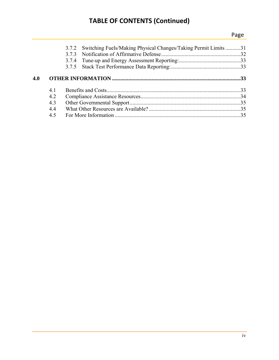## **TABLE OF CONTENTS (Continued)**

## *Page*

|     |     | 3.7.2 Switching Fuels/Making Physical Changes/Taking Permit Limits 31<br>373<br>3.7.4 |  |
|-----|-----|---------------------------------------------------------------------------------------|--|
|     |     |                                                                                       |  |
| 4.0 |     |                                                                                       |  |
|     | 4.1 |                                                                                       |  |
|     | 4.2 |                                                                                       |  |
|     | 4.3 |                                                                                       |  |
|     | 4.4 |                                                                                       |  |
|     |     |                                                                                       |  |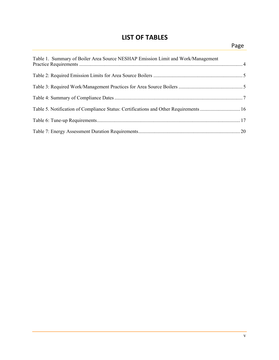## **LIST OF TABLES**

| Table 1. Summary of Boiler Area Source NESHAP Emission Limit and Work/Management      |  |
|---------------------------------------------------------------------------------------|--|
|                                                                                       |  |
|                                                                                       |  |
|                                                                                       |  |
| Table 5. Notification of Compliance Status: Certifications and Other Requirements  16 |  |
|                                                                                       |  |
|                                                                                       |  |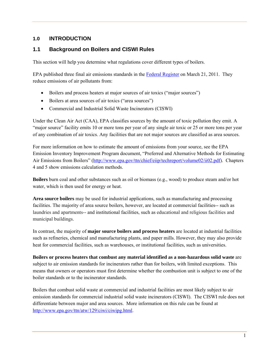## **1.0 INTRODUCTION**

## **1.1 Background on Boilers and CISWI Rules**

This section will help you determine what regulations cover different types of boilers.

EPA published three final air emissions standards in the Federal Register on March 21, 2011. They reduce emissions of air pollutants from:

- Boilers and process heaters at major sources of air toxics ("major sources")
- Boilers at area sources of air toxics ("area sources")
- Commercial and Industrial Solid Waste Incinerators (CISWI)

Under the Clean Air Act (CAA), EPA classifies sources by the amount of toxic pollution they emit. A "major source" facility emits 10 or more tons per year of any single air toxic or 25 or more tons per year of any combination of air toxics. Any facilities that are not major sources are classified as area sources.

For more information on how to estimate the amount of emissions from your source, see the EPA Emission Inventory Improvement Program document, "Preferred and Alternative Methods for Estimating Air Emissions from Boilers" (http://www.epa.gov/ttn/chief/eiip/techreport/volume02/ii02.pdf). Chapters 4 and 5 show emissions calculation methods.

**Boilers** burn coal and other substances such as oil or biomass (e.g., wood) to produce steam and/or hot water, which is then used for energy or heat.

**Area source boilers** may be used for industrial applications, such as manufacturing and processing facilities. The majority of area source boilers, however, are located at commercial facilities-- such as laundries and apartments-- and institutional facilities, such as educational and religious facilities and municipal buildings.

In contrast, the majority of **major source boilers and process heaters** are located at industrial facilities such as refineries, chemical and manufacturing plants, and paper mills. However, they may also provide heat for commercial facilities, such as warehouses, or institutional facilities, such as universities.

**Boilers or process heaters that combust any material identified as a non-hazardous solid waste** are subject to air emission standards for incinerators rather than for boilers, with limited exceptions. This means that owners or operators must first determine whether the combustion unit is subject to one of the boiler standards or to the incinerator standards.

Boilers that combust solid waste at commercial and industrial facilities are most likely subject to air emission standards for commercial industrial solid waste incinerators (CISWI). The CISWI rule does not differentiate between major and area sources. More information on this rule can be found at http://www.epa.gov/ttn/atw/129/ciwi/ciwipg.html.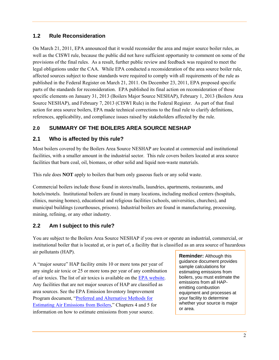## **1.2 Rule Reconsideration**

On March 21, 2011, EPA announced that it would reconsider the area and major source boiler rules, as well as the CISWI rule, because the public did not have sufficient opportunity to comment on some of the provisions of the final rules. As a result, further public review and feedback was required to meet the legal obligations under the CAA. While EPA conducted a reconsideration of the area source boiler rule, affected sources subject to those standards were required to comply with all requirements of the rule as published in the Federal Register on March 21, 2011. On December 23, 2011, EPA proposed specific parts of the standards for reconsideration. EPA published its final action on reconsideration of those specific elements on January 31, 2013 (Boilers Major Source NESHAP), February 1, 2013 (Boilers Area Source NESHAP), and February 7, 2013 (CISWI Rule) in the Federal Register. As part of that final action for area source boilers, EPA made technical corrections to the final rule to clarify definitions, references, applicability, and compliance issues raised by stakeholders affected by the rule.

## **2.0 SUMMARY OF THE BOILERS AREA SOURCE NESHAP**

## **2.1 Who is affected by this rule?**

Most boilers covered by the Boilers Area Source NESHAP are located at commercial and institutional facilities, with a smaller amount in the industrial sector. This rule covers boilers located at area source facilities that burn coal, oil, biomass, or other solid and liquid non-waste materials.

This rule does **NOT** apply to boilers that burn only gaseous fuels or any solid waste.

Commercial boilers include those found in stores/malls, laundries, apartments, restaurants, and hotels/motels. Institutional boilers are found in many locations, including medical centers (hospitals, clinics, nursing homes), educational and religious facilities (schools, universities, churches), and municipal buildings (courthouses, prisons). Industrial boilers are found in manufacturing, processing, mining, refining, or any other industry.

## **2.2 Am I subject to this rule?**

You are subject to the Boilers Area Source NESHAP if you own or operate an industrial, commercial, or institutional boiler that is located at, or is part of, a facility that is classified as an area source of hazardous air pollutants (HAP).

A "major source" HAP facility emits 10 or more tons per year of any single air toxic or 25 or more tons per year of any combination of air toxics. The list of air toxics is available on the EPA website. Any facilities that are not major sources of HAP are classified as area sources. See the EPA Emission Inventory Improvement Program document, "Preferred and Alternative Methods for Estimating Air Emissions from Boilers," Chapters 4 and 5 for information on how to estimate emissions from your source.

**Reminder:** Although this guidance document provides sample calculations for estimating emissions from boilers, you must estimate the emissions from all HAPemitting combustion equipment and processes at your facility to determine whether your source is major or area.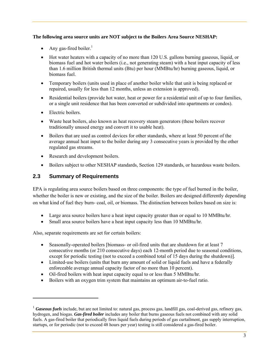#### **The following area source units are NOT subject to the Boilers Area Source NESHAP:**

- Any gas-fired boiler.<sup>1</sup>
- Hot water heaters with a capacity of no more than 120 U.S. gallons burning gaseous, liquid, or biomass fuel and hot water boilers (i.e., not generating steam) with a heat input capacity of less than 1.6 million British thermal units (Btu) per hour (MMBtu/hr) burning gaseous, liquid, or biomass fuel.
- Temporary boilers (units used in place of another boiler while that unit is being replaced or repaired, usually for less than 12 months, unless an extension is approved).
- Residential boilers (provide hot water, heat or power for a residential unit of up to four families, or a single unit residence that has been converted or subdivided into apartments or condos).
- Electric boilers.

-

- Waste heat boilers, also known as heat recovery steam generators (these boilers recover traditionally unused energy and convert it to usable heat).
- Boilers that are used as control devices for other standards, where at least 50 percent of the average annual heat input to the boiler during any 3 consecutive years is provided by the other regulated gas streams.
- Research and development boilers.
- Boilers subject to other NESHAP standards, Section 129 standards, or hazardous waste boilers.

## **2.3 Summary of Requirements**

EPA is regulating area source boilers based on three components: the type of fuel burned in the boiler, whether the boiler is new or existing, and the size of the boiler. Boilers are designed differently depending on what kind of fuel they burn- coal, oil, or biomass. The distinction between boilers based on size is:

- Large area source boilers have a heat input capacity greater than or equal to 10 MMBtu/hr.
- Small area source boilers have a heat input capacity less than 10 MMBtu/hr.

Also, separate requirements are set for certain boilers:

- Seasonally-operated boilers [biomass- or oil-fired units that are shutdown for at least 7 consecutive months (or 210 consecutive days) each 12-month period due to seasonal conditions, except for periodic testing (not to exceed a combined total of 15 days during the shutdown)].
- Limited-use boilers (units that burn any amount of solid or liquid fuels and have a federally enforceable average annual capacity factor of no more than 10 percent).
- Oil-fired boilers with heat input capacity equal to or less than 5 MMBtu/hr.
- Boilers with an oxygen trim system that maintains an optimum air-to-fuel ratio.

<sup>&</sup>lt;sup>1</sup> *Gaseous fuels* include, but are not limited to: natural gas, process gas, landfill gas, coal-derived gas, refinery gas, hydrogen, and biogas. *Gas-fired boiler* includes any boiler that burns gaseous fuels not combined with any solid fuels. A gas-fired boiler that periodically fires liquid fuels during periods of gas curtailment, gas supply interruption, startups, or for periodic (not to exceed 48 hours per year) testing is still considered a gas-fired boiler.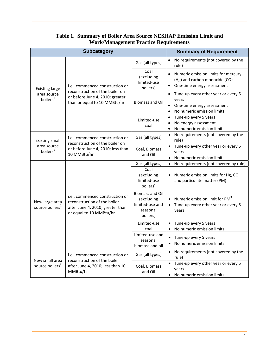|                                               | <b>Subcategory</b>                                                                                                             | <b>Summary of Requirement</b>                                                   |                                                                                                                       |
|-----------------------------------------------|--------------------------------------------------------------------------------------------------------------------------------|---------------------------------------------------------------------------------|-----------------------------------------------------------------------------------------------------------------------|
|                                               |                                                                                                                                | Gas (all types)                                                                 | No requirements (not covered by the<br>rule)                                                                          |
| <b>Existing large</b>                         | i.e., commenced construction or                                                                                                | Coal<br>(excluding<br>limited-use<br>boilers)                                   | Numeric emission limits for mercury<br>(Hg) and carbon monoxide (CO)<br>One-time energy assessment<br>$\bullet$       |
| area source<br>boilers <sup>1</sup>           | reconstruction of the boiler on<br>or before June 4, 2010; greater<br>than or equal to 10 MMBtu/hr                             | <b>Biomass and Oil</b>                                                          | Tune-up every other year or every 5<br>$\bullet$<br>years<br>One-time energy assessment<br>No numeric emission limits |
|                                               |                                                                                                                                | Limited-use<br>coal                                                             | Tune-up every 5 years<br>$\bullet$<br>No energy assessment<br>$\bullet$<br>No numeric emission limits<br>$\bullet$    |
| <b>Existing small</b>                         | i.e., commenced construction or<br>reconstruction of the boiler on                                                             | Gas (all types)                                                                 | No requirements (not covered by the<br>$\bullet$<br>rule)                                                             |
| area source<br>boilers <sup>1</sup>           | or before June 4, 2010; less than<br>10 MMBtu/hr                                                                               | Coal, Biomass<br>and Oil                                                        | Tune-up every other year or every 5<br>years<br>No numeric emission limits<br>$\bullet$                               |
|                                               | i.e., commenced construction or<br>reconstruction of the boiler<br>after June 4, 2010; greater than<br>or equal to 10 MMBtu/hr | Gas (all types)                                                                 | No requirements (not covered by rule)                                                                                 |
| New large area<br>source boilers <sup>2</sup> |                                                                                                                                | Coal<br>(excluding<br>limited-use<br>boilers)                                   | Numeric emission limits for Hg, CO,<br>and particulate matter (PM)                                                    |
|                                               |                                                                                                                                | <b>Biomass and Oil</b><br>(excluding<br>limited-use and<br>seasonal<br>boilers) | Numeric emission limit for PM <sup>3</sup><br>Tune-up every other year or every 5<br>years                            |
|                                               |                                                                                                                                | Limited-use<br>coal                                                             | Tune-up every 5 years<br>$\bullet$<br>No numeric emission limits                                                      |
|                                               |                                                                                                                                | Limited-use and<br>seasonal<br>biomass and oil                                  | Tune-up every 5 years<br>No numeric emission limits<br>$\bullet$                                                      |
|                                               | i.e., commenced construction or                                                                                                | Gas (all types)                                                                 | No requirements (not covered by the<br>$\bullet$<br>rule)                                                             |
| New small area<br>source boilers <sup>2</sup> | reconstruction of the boiler<br>after June 4, 2010; less than 10<br>MMBtu/hr                                                   | Coal, Biomass<br>and Oil                                                        | Tune-up every other year or every 5<br>years<br>No numeric emission limits<br>$\bullet$                               |

## **Table 1. Summary of Boiler Area Source NESHAP Emission Limit and Work/Management Practice Requirements**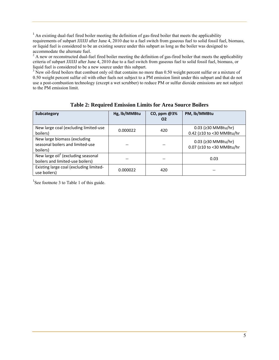<sup>1</sup> An existing dual-fuel fired boiler meeting the definition of gas-fired boiler that meets the applicability requirements of subpart JJJJJJ after June 4, 2010 due to a fuel switch from gaseous fuel to solid fossil fuel, biomass, or liquid fuel is considered to be an existing source under this subpart as long as the boiler was designed to

accommodate the alternate fuel.<br><sup>2</sup> A new or reconstructed dual-fuel fired boiler meeting the definition of gas-fired boiler that meets the applicability criteria of subpart JJJJJJ after June 4, 2010 due to a fuel switch from gaseous fuel to solid fossil fuel, biomass, or liquid fuel is considered to be a new source under this subpart.

 $3$  New oil-fired boilers that combust only oil that contains no more than 0.50 weight percent sulfur or a mixture of 0.50 weight percent sulfur oil with other fuels not subject to a PM emission limit under this subpart and that do not use a post-combustion technology (except a wet scrubber) to reduce PM or sulfur dioxide emissions are not subject to the PM emission limit.

| Subcategory                                                                        | Hg, lb/MMBtu | $CO$ , ppm $@3%$<br>O <sub>2</sub> | PM, lb/MMBtu                                     |
|------------------------------------------------------------------------------------|--------------|------------------------------------|--------------------------------------------------|
| New large coal (excluding limited-use<br>boilers)                                  | 0.000022     | 420                                | 0.03 (≥30 MMBtu/hr)<br>0.42 (≥10 to <30 MMBtu/hr |
| New large biomass (excluding<br>seasonal boilers and limited-use<br>boilers)       |              |                                    | 0.03 (≥30 MMBtu/hr)<br>0.07 (≥10 to <30 MMBtu/hr |
| New large oil <sup>1</sup> (excluding seasonal<br>boilers and limited-use boilers) |              |                                    | 0.03                                             |
| Existing large coal (excluding limited-<br>use boilers)                            | 0.000022     | 420                                |                                                  |

**Table 2: Required Emission Limits for Area Source Boilers** 

<sup>1</sup>See footnote 3 to Table 1 of this guide.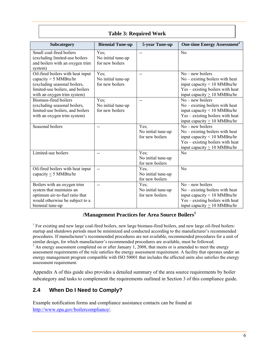| Subcategory                                                                                                                                                     | <b>Biennial Tune-up</b>                       | 5-year Tune-up                                | <b>One-time Energy Assessment<sup>2</sup></b>                                                                                                                      |  |  |  |
|-----------------------------------------------------------------------------------------------------------------------------------------------------------------|-----------------------------------------------|-----------------------------------------------|--------------------------------------------------------------------------------------------------------------------------------------------------------------------|--|--|--|
| Small coal-fired boilers<br>(excluding limited-use boilers<br>and boilers with an oxygen trim<br>system)                                                        | Yes;<br>No initial tune-up<br>for new boilers |                                               | N <sub>0</sub>                                                                                                                                                     |  |  |  |
| Oil-fired boilers with heat input<br>capacity $> 5$ MMBtu/hr<br>(excluding seasonal boilers,<br>limited-use boilers, and boilers<br>with an oxygen trim system) | Yes;<br>No initial tune-up<br>for new boilers |                                               | $No$ – new boilers<br>$No - existing$ boilers with heat<br>input capacity < 10 MMBtu/hr<br>Yes – existing boilers with heat<br>input capacity $\geq 10$ MMBtu/hr   |  |  |  |
| Biomass-fired boilers<br>(excluding seasonal boilers,<br>limited-use boilers, and boilers<br>with an oxygen trim system)                                        | Yes;<br>No initial tune-up<br>for new boilers | $-$                                           | $No$ – new boilers<br>$No - existing$ boilers with heat<br>input capacity $< 10$ MMBtu/hr<br>Yes – existing boilers with heat<br>input capacity $\geq 10$ MMBtu/hr |  |  |  |
| Seasonal boilers                                                                                                                                                |                                               | Yes:<br>No initial tune-up<br>for new boilers | $No$ – new boilers<br>$No - existing$ boilers with heat<br>input capacity $< 10$ MMBtu/hr<br>Yes – existing boilers with heat<br>input capacity $> 10$ MMBtu/hr    |  |  |  |
| Limited-use boilers                                                                                                                                             | --                                            | Yes;<br>No initial tune-up<br>for new boilers | No                                                                                                                                                                 |  |  |  |
| Oil-fired boilers with heat input<br>capacity $\leq$ 5 MMBtu/hr                                                                                                 | $\overline{a}$                                | Yes:<br>No initial tune-up<br>for new boilers | N <sub>o</sub>                                                                                                                                                     |  |  |  |
| Boilers with an oxygen trim<br>system that maintains an<br>optimum air-to-fuel ratio that<br>would otherwise be subject to a<br>biennial tune-up                | $\overline{\phantom{a}}$                      | Yes;<br>No initial tune-up<br>for new boilers | $No$ – new boilers<br>$No - existing$ boilers with heat<br>input capacity < 10 MMBtu/hr<br>Yes – existing boilers with heat<br>input capacity $\geq 10$ MMBtu/hr   |  |  |  |

## **Table 3: Required Work**

## **/Management Practices for Area Source Boilers1**

<sup>1</sup> For existing and new large coal-fired boilers, new large biomass-fired boilers, and new large oil-fired boilers: startup and shutdown periods must be minimized and conducted according to the manufacturer's recommended procedures. If manufacturer's recommended procedures are not available, recommended procedures for a unit of similar design, for which manufacturer's recommended procedures are available, must be followed.  $2 \text{ An energy assessment completed on or after January 1, 2008, that meets or is amended to meet the energy.}$ assessment requirements of the rule satisfies the energy assessment requirement. A facility that operates under an energy management program compatible with ISO 50001 that includes the affected units also satisfies the energy assessment requirement.

Appendix A of this guide also provides a detailed summary of the area source requirements by boiler subcategory and tasks to complement the requirements outlined in Section 3 of this compliance guide.

## **2.4 When Do I Need to Comply?**

Example notification forms and compliance assistance contacts can be found at http://www.epa.gov/boilercompliance/.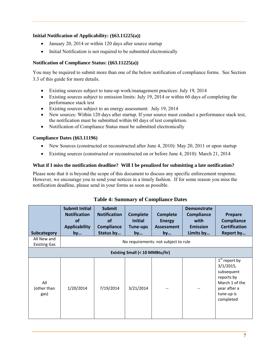#### **Initial Notification of Applicability: (§63.11225(a))**

- January 20, 2014 or within 120 days after source startup
- Initial Notification is not required to be submitted electronically

#### **Notification of Compliance Status: (§63.11225(a))**

You may be required to submit more than one of the below notification of compliance forms. See Section 3.3 of this guide for more details.

- Existing sources subject to tune-up work/management practices: July 19, 2014
- Existing sources subject to emission limits: July 19, 2014 or within 60 days of completing the performance stack test
- Existing sources subject to an energy assessment: July 19, 2014
- New sources: Within 120 days after startup. If your source must conduct a performance stack test, the notification must be submitted within 60 days of test completion.
- Notification of Compliance Status must be submitted electronically

#### **Compliance Dates (§63.11196)**

- New Sources (constructed or reconstructed after June 4, 2010): May 20, 2011 or upon startup
- Existing sources (constructed or reconstructed on or before June 4, 2010): March 21, 2014

#### **What if I miss the notification deadline? Will I be penalized for submitting a late notification?**

Please note that it is beyond the scope of this document to discuss any specific enforcement response. However, we encourage you to send your notices in a timely fashion. If for some reason you miss the notification deadline, please send in your forms as soon as possible.

| Subcategory<br>All New and<br><b>Existing Gas</b> | <b>Submit Initial</b><br><b>Notification</b><br><b>of</b><br><b>Applicability</b><br>by | <b>Submit</b><br><b>Notification</b><br><b>of</b><br><b>Compliance</b><br>Status by | <b>Complete</b><br><b>Initial</b><br>Tune-ups<br>by | <b>Complete</b><br><b>Energy</b><br><b>Assessment</b><br>by<br>No requirements: not subject to rule | <b>Demonstrate</b><br><b>Compliance</b><br>with<br><b>Emission</b><br>Limits by | Prepare<br><b>Compliance</b><br><b>Certification</b><br>Report by                                                        |
|---------------------------------------------------|-----------------------------------------------------------------------------------------|-------------------------------------------------------------------------------------|-----------------------------------------------------|-----------------------------------------------------------------------------------------------------|---------------------------------------------------------------------------------|--------------------------------------------------------------------------------------------------------------------------|
|                                                   | Existing Small (< 10 MMBtu/hr)                                                          |                                                                                     |                                                     |                                                                                                     |                                                                                 |                                                                                                                          |
| All<br>(other than<br>gas)                        | 1/20/2014                                                                               | 7/19/2014                                                                           | 3/21/2014                                           | --                                                                                                  |                                                                                 | $1st$ report by<br>$3/1/2015$ ,<br>subsequent<br>reports by<br>March 1 of the<br>year after a<br>tune-up is<br>completed |

#### **Table 4: Summary of Compliance Dates**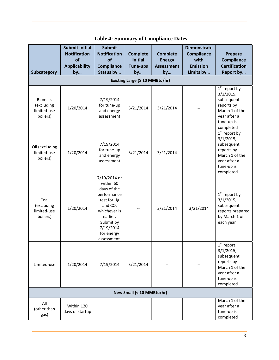|                                                         | <b>Submit Initial</b><br><b>Notification</b><br>of<br><b>Applicability</b> | <b>Submit</b><br><b>Notification</b><br>of<br><b>Compliance</b>                                                                                                      | <b>Complete</b><br><b>Initial</b><br><b>Tune-ups</b> | <b>Complete</b><br><b>Energy</b><br><b>Assessment</b> | <b>Demonstrate</b><br><b>Compliance</b><br>with<br><b>Emission</b> | Prepare<br><b>Compliance</b><br><b>Certification</b>                                                                                          |
|---------------------------------------------------------|----------------------------------------------------------------------------|----------------------------------------------------------------------------------------------------------------------------------------------------------------------|------------------------------------------------------|-------------------------------------------------------|--------------------------------------------------------------------|-----------------------------------------------------------------------------------------------------------------------------------------------|
| Subcategory                                             | by                                                                         | Status by                                                                                                                                                            | by                                                   | by                                                    | Limits by                                                          | Report by                                                                                                                                     |
|                                                         |                                                                            |                                                                                                                                                                      | Existing Large ( $\geq 10$ MMBtu/hr)                 |                                                       |                                                                    |                                                                                                                                               |
| <b>Biomass</b><br>(excluding<br>limited-use<br>boilers) | 1/20/2014                                                                  | 7/19/2014<br>for tune-up<br>and energy<br>assessment                                                                                                                 | 3/21/2014                                            | 3/21/2014                                             |                                                                    | $\overline{1^{st}}$ report by<br>$3/1/2015$ ,<br>subsequent<br>reports by<br>March 1 of the<br>year after a<br>tune-up is<br>completed        |
| Oil (excluding<br>limited-use<br>boilers)               | 1/20/2014                                                                  | 7/19/2014<br>for tune-up<br>and energy<br>assessment                                                                                                                 | 3/21/2014                                            | 3/21/2014                                             |                                                                    | $\overline{1}^{\text{st}}$ report by<br>$3/1/2015$ ,<br>subsequent<br>reports by<br>March 1 of the<br>year after a<br>tune-up is<br>completed |
| Coal<br>(excluding<br>limited-use<br>boilers)           | 1/20/2014                                                                  | 7/19/2014 or<br>within 60<br>days of the<br>performance<br>test for Hg<br>and CO,<br>whichever is<br>earlier.<br>Submit by<br>7/19/2014<br>for energy<br>assessment. |                                                      | 3/21/2014                                             | 3/21/2014                                                          | $1st$ report by<br>$3/1/2015$ ,<br>subsequent<br>reports prepared<br>by March 1 of<br>each year                                               |
| Limited-use                                             | 1/20/2014                                                                  | 7/19/2014                                                                                                                                                            | 3/21/2014                                            |                                                       |                                                                    | $1st$ report<br>$3/1/2015$ ,<br>subsequent<br>reports by<br>March 1 of the<br>year after a<br>tune-up is<br>completed                         |
| New Small (< 10 MMBtu/hr)                               |                                                                            |                                                                                                                                                                      |                                                      |                                                       |                                                                    |                                                                                                                                               |
| All<br>(other than<br>gas)                              | Within 120<br>days of startup                                              |                                                                                                                                                                      |                                                      |                                                       |                                                                    | March 1 of the<br>year after a<br>tune-up is<br>completed                                                                                     |

## **Table 4: Summary of Compliance Dates**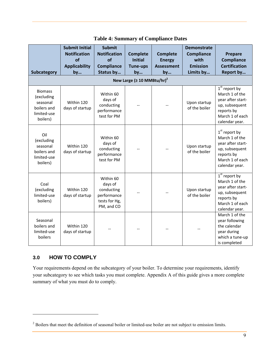|                                                                                    | <b>Submit Initial</b><br><b>Notification</b> | <b>Submit</b><br><b>Notification</b>                                             | <b>Complete</b>                         | <b>Complete</b>                          | <b>Demonstrate</b><br><b>Compliance</b> | Prepare                                                                                                                     |
|------------------------------------------------------------------------------------|----------------------------------------------|----------------------------------------------------------------------------------|-----------------------------------------|------------------------------------------|-----------------------------------------|-----------------------------------------------------------------------------------------------------------------------------|
| Subcategory                                                                        | of<br><b>Applicability</b><br>by             | of<br><b>Compliance</b><br>Status by                                             | <b>Initial</b><br><b>Tune-ups</b><br>by | <b>Energy</b><br><b>Assessment</b><br>by | with<br><b>Emission</b><br>Limits by    | Compliance<br><b>Certification</b><br>Report by                                                                             |
| New Large ( $\geq 10$ MMBtu/hr) <sup>2</sup>                                       |                                              |                                                                                  |                                         |                                          |                                         |                                                                                                                             |
| <b>Biomass</b><br>(excluding<br>seasonal<br>boilers and<br>limited-use<br>boilers) | Within 120<br>days of startup                | Within 60<br>days of<br>conducting<br>performance<br>test for PM                 |                                         |                                          | Upon startup<br>of the boiler           | $1st$ report by<br>March 1 of the<br>year after start-<br>up, subsequent<br>reports by<br>March 1 of each<br>calendar year. |
| Oil<br>(excluding<br>seasonal<br>boilers and<br>limited-use<br>boilers)            | Within 120<br>days of startup                | Within 60<br>days of<br>conducting<br>performance<br>test for PM                 |                                         |                                          | Upon startup<br>of the boiler           | $1st$ report by<br>March 1 of the<br>year after start-<br>up, subsequent<br>reports by<br>March 1 of each<br>calendar year. |
| Coal<br>(excluding<br>limited-use<br>boilers)                                      | Within 120<br>days of startup                | Within 60<br>days of<br>conducting<br>performance<br>tests for Hg,<br>PM, and CO |                                         |                                          | Upon startup<br>of the boiler           | $1st$ report by<br>March 1 of the<br>year after start-<br>up, subsequent<br>reports by<br>March 1 of each<br>calendar year. |
| Seasonal<br>boilers and<br>limited-use<br>boilers                                  | Within 120<br>days of startup                |                                                                                  |                                         |                                          |                                         | March 1 of the<br>year following<br>the calendar<br>year during<br>which a tune-up<br>is completed                          |

## **Table 4: Summary of Compliance Dates**

## **3.0 HOW TO COMPLY**

l

Your requirements depend on the subcategory of your boiler. To determine your requirements, identify your subcategory to see which tasks you must complete. Appendix A of this guide gives a more complete summary of what you must do to comply.

 $2^{2}$  Boilers that meet the definition of seasonal boiler or limited-use boiler are not subject to emission limits.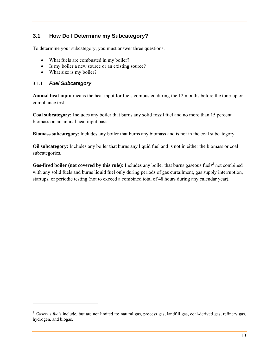## **3.1 How Do I Determine my Subcategory?**

To determine your subcategory, you must answer three questions:

- What fuels are combusted in my boiler?
- Is my boiler a new source or an existing source?
- What size is my boiler?

#### 3.1.1 *Fuel Subcategory*

1

**Annual heat input** means the heat input for fuels combusted during the 12 months before the tune-up or compliance test.

**Coal subcategory:** Includes any boiler that burns any solid fossil fuel and no more than 15 percent biomass on an annual heat input basis.

**Biomass subcategory**: Includes any boiler that burns any biomass and is not in the coal subcategory.

**Oil subcategory:** Includes any boiler that burns any liquid fuel and is not in either the biomass or coal subcategories.

Gas-fired boiler (not covered by this rule): Includes any boiler that burns gaseous fuels<sup>3</sup> not combined with any solid fuels and burns liquid fuel only during periods of gas curtailment, gas supply interruption, startups, or periodic testing (not to exceed a combined total of 48 hours during any calendar year).

<sup>&</sup>lt;sup>3</sup> Gaseous fuels include, but are not limited to: natural gas, process gas, landfill gas, coal-derived gas, refinery gas, hydrogen, and biogas.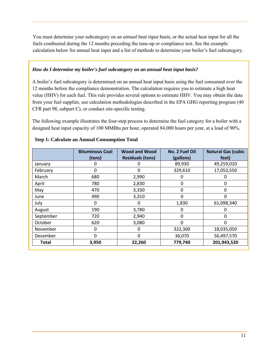You must determine your subcategory on an *annual heat input basis,* or the actual heat input for all the fuels combusted during the 12 months preceding the tune-up or compliance test. See the example calculation below for annual heat input and a list of methods to determine your boiler's fuel subcategory.

#### *How do I determine my boiler's fuel subcategory on an annual heat input basis?*

A boiler's fuel subcategory is determined on an annual heat input basis using the fuel consumed over the 12 months before the compliance demonstration. The calculation requires you to estimate a high heat value (HHV) for each fuel. This rule provides several options to estimate HHV. You may obtain the data from your fuel supplier, use calculation methodologies described in the EPA GHG reporting program (40 CFR part 98, subpart C), or conduct site-specific testing.

The following example illustrates the four-step process to determine the fuel category for a boiler with a designed heat input capacity of 100 MMBtu per hour, operated 84,000 hours per year, at a load of 90%.

|           | <b>Bituminous Coal</b><br>(tons) | <b>Wood and Wood</b><br><b>Residuals (tons)</b> | No. 2 Fuel Oil<br>(gallons) | <b>Natural Gas (cubic</b><br>feet) |
|-----------|----------------------------------|-------------------------------------------------|-----------------------------|------------------------------------|
| January   | O                                | O                                               | 89,930                      | 49,259,010                         |
| February  | 0                                | 0                                               | 329,610                     | 17,053,550                         |
| March     | 680                              | 2,990                                           | 0                           |                                    |
| April     | 780                              | 2,830                                           | 0                           | 0                                  |
| May       | 470                              | 3,330                                           | 0                           | 0                                  |
| June      | 490                              | 3,310                                           | 0                           | 0                                  |
| July      | 0                                | 0                                               | 1,830                       | 61,098,340                         |
| August    | 190                              | 3,780                                           | 0                           |                                    |
| September | 720                              | 2,940                                           | 0                           | 0                                  |
| October   | 620                              | 3,080                                           | $\Omega$                    | O                                  |
| November  | 0                                | 0                                               | 322,300                     | 18,035,050                         |
| December  | $\Omega$                         | 0                                               | 36,070                      | 56,497,570                         |
| Total     | 3,950                            | 22,260                                          | 779,740                     | 201,943,520                        |

#### **Step 1: Calculate an Annual Consumption Total**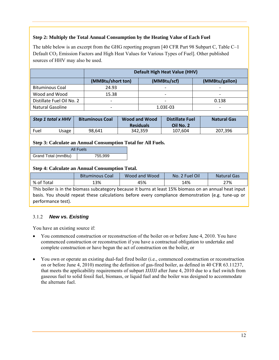#### **Step 2: Multiply the Total Annual Consumption by the Heating Value of Each Fuel**

The table below is an excerpt from the GHG reporting program [40 CFR Part 98 Subpart C, Table C–1 Default  $CO<sub>2</sub>$  Emission Factors and High Heat Values for Various Types of Fuel]. Other published sources of HHV may also be used.

|                           | <b>Default High Heat Value (HHV)</b>               |                          |                          |  |  |  |
|---------------------------|----------------------------------------------------|--------------------------|--------------------------|--|--|--|
|                           | (MMBtu/short ton)<br>(MMBtu/scf)<br>(MMBtu/gallon) |                          |                          |  |  |  |
| <b>Bituminous Coal</b>    | 24.93                                              |                          |                          |  |  |  |
| Wood and Wood             | 15.38                                              | $\overline{\phantom{0}}$ | $\overline{\phantom{0}}$ |  |  |  |
| Distillate Fuel Oil No. 2 | -                                                  |                          | 0.138                    |  |  |  |
| <b>Natural Gasoline</b>   |                                                    | 1.03E-03                 | -                        |  |  |  |

| Step 1 total x HHV |              | <b>Bituminous Coal</b> | Wood and Wood<br><b>Residuals</b> | Distillate Fuel<br>Oil No. 2 | <b>Natural Gas</b> |
|--------------------|--------------|------------------------|-----------------------------------|------------------------------|--------------------|
| Fuel               | <b>Jsage</b> | 98.641                 | 342.359                           | 107.604                      | 207.396            |

#### **Step 3: Calculate an Annual Consumption Total for All Fuels.**

|                     | All Fuels |
|---------------------|-----------|
| Grand Total (mmBtu) | 755,999   |

#### **Step 4: Calculate an Annual Consumption Total.**

|            | <b>Bituminous Coal</b> | Wood and Wood | Oil<br>No. 2 Fuel | <b>Natural Gas</b> |
|------------|------------------------|---------------|-------------------|--------------------|
| % of Total | 13%                    | 45%           | 14%               | 27%                |

This boiler is in the biomass subcategory because it burns at least 15% biomass on an annual heat input basis. You should repeat these calculations before every compliance demonstration (e.g. tune‐up or performance test).

#### 3.1.2 *New vs. Existing*

You have an existing source if:

- You commenced construction or reconstruction of the boiler on or before June 4, 2010. You have commenced construction or reconstruction if you have a contractual obligation to undertake and complete construction or have begun the act of construction on the boiler, or
- You own or operate an existing dual-fuel fired boiler (i.e., commenced construction or reconstruction on or before June 4, 2010) meeting the definition of gas-fired boiler, as defined in 40 CFR 63.11237, that meets the applicability requirements of subpart JJJJJJ after June 4, 2010 due to a fuel switch from gaseous fuel to solid fossil fuel, biomass, or liquid fuel and the boiler was designed to accommodate the alternate fuel.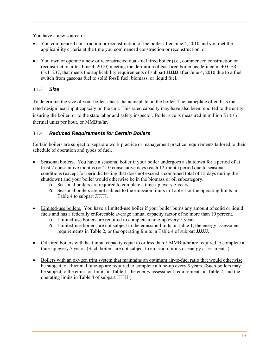You have a new source if:

- You commenced construction or reconstruction of the boiler after June 4, 2010 and you met the applicability criteria at the time you commenced construction or reconstruction, or
- You own or operate a new or reconstructed dual-fuel fired boiler (i.e., commenced construction or reconstruction after June 4, 2010) meeting the definition of gas-fired boiler, as defined in 40 CFR 63.11237, that meets the applicability requirements of subpart JJJJJJ after June 4, 2010 due to a fuel switch from gaseous fuel to solid fossil fuel, biomass, or liquid fuel.

## 3.1.3 *Size*

To determine the size of your boiler, check the nameplate on the boiler. The nameplate often lists the rated design heat input capacity on the unit. This rated capacity may have also been reported to the entity insuring the boiler, or to the state labor and safety inspector. Boiler size is measured in million British thermal units per hour, or MMBtu/hr.

## 3.1.4 *Reduced Requirements for Certain Boilers*

Certain boilers are subject to separate work practice or management practice requirements tailored to their schedule of operation and types of fuel.

- Seasonal boilers. You have a seasonal boiler if your boiler undergoes a shutdown for a period of at least 7 consecutive months (or 210 consecutive days) each 12-month period due to seasonal conditions (except for periodic testing that does not exceed a combined total of 15 days during the shutdown) and your boiler would otherwise be in the biomass or oil subcategory.
	- o Seasonal boilers are required to complete a tune-up every 5 years.
	- o Seasonal boilers are not subject to the emission limits in Table 1 or the operating limits in Table 4 to subpart JJJJJJ.
- Limited-use boilers. You have a limited-use boiler if your boiler burns any amount of solid or liquid fuels and has a federally enforceable average annual capacity factor of no more than 10 percent.
	- o Limited-use boilers are required to complete a tune-up every 5 years.
	- o Limited-use boilers are not subject to the emission limits in Table 1, the energy assessment requirements in Table 2, or the operating limits in Table 4 of subpart JJJJJJ.
- Oil-fired boilers with heat input capacity equal to or less than 5 MMBtu/hr are required to complete a tune-up every 5 years. (Such boilers are not subject to emission limits or energy assessments.)
- Boilers with an oxygen trim system that maintains an optimum air-to-fuel ratio that would otherwise be subject to a biennial tune-up are required to complete a tune-up every 5 years. (Such boilers may be subject to the emission limits in Table 1, the energy assessment requirements in Table 2, and the operating limits in Table 4 of subpart JJJJJJ.)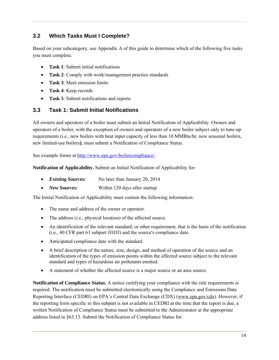## **3.2 Which Tasks Must I Complete?**

Based on your subcategory, use Appendix A of this guide to determine which of the following five tasks you must complete.

- **Task 1**: Submit initial notifications
- **Task 2**: Comply with work/management practice standards
- **Task 3**: Meet emission limits
- **Task 4**: Keep records
- **Task 5**: Submit notifications and reports

## **3.3 Task 1: Submit Initial Notifications**

All owners and operators of a boiler must submit an Initial Notification of Applicability. Owners and operators of a boiler, with the exception of owners and operators of a new boiler subject only to tune-up requirements (i.e., new boilers with heat input capacity of less than 10 MMBtu/hr, new seasonal boilers, new limited-use boilers**)**, must submit a Notification of Compliance Status.

See example forms at http://www.epa.gov/boilercompliance/.

**Notification of Applicability.** Submit an Initial Notification of Applicability for:

- *Existing Sources:* No later than January 20, 2014
- *New Sources:* Within 120 days after startup

The Initial Notification of Applicability must contain the following information:

- The name and address of the owner or operator.
- The address (i.e., physical location) of the affected source.
- An identification of the relevant standard, or other requirement, that is the basis of the notification (i.e., 40 CFR part 63 subpart JJJJJJ) and the source's compliance date.
- Anticipated compliance date with the standard.
- A brief description of the nature, size, design, and method of operation of the source and an identification of the types of emission points within the affected source subject to the relevant standard and types of hazardous air pollutants emitted.
- A statement of whether the affected source is a major source or an area source.

**Notification of Compliance Status.** A notice certifying your compliance with the rule requirements is required. The notification must be submitted electronically using the Compliance and Emissions Data Reporting Interface (CEDRI) on EPA's Central Data Exchange (CDX) (www.epa.gov/cdx). However, if the reporting form specific to this subpart is not available in CEDRI at the time that the report is due, a written Notification of Compliance Status must be submitted to the Administrator at the appropriate address listed in §63.13. Submit the Notification of Compliance Status for: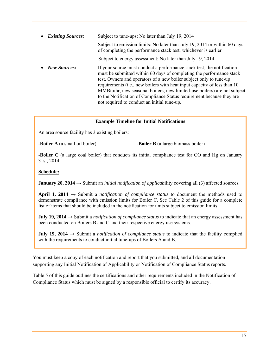| $\bullet$ | <b>Existing Sources:</b> | Subject to tune-ups: No later than July 19, 2014                                                                                                                                                                                                                                                                                                                                                                                                                                                     |  |  |  |
|-----------|--------------------------|------------------------------------------------------------------------------------------------------------------------------------------------------------------------------------------------------------------------------------------------------------------------------------------------------------------------------------------------------------------------------------------------------------------------------------------------------------------------------------------------------|--|--|--|
|           |                          | Subject to emission limits: No later than July 19, 2014 or within 60 days<br>of completing the performance stack test, whichever is earlier                                                                                                                                                                                                                                                                                                                                                          |  |  |  |
|           |                          | Subject to energy assessment: No later than July 19, 2014                                                                                                                                                                                                                                                                                                                                                                                                                                            |  |  |  |
|           | <b>New Sources:</b>      | If your source must conduct a performance stack test, the notification<br>must be submitted within 60 days of completing the performance stack<br>test. Owners and operators of a new boiler subject only to tune-up<br>requirements (i.e., new boilers with heat input capacity of less than 10<br>MMBtu/hr, new seasonal boilers, new limited-use boilers) are not subject<br>to the Notification of Compliance Status requirement because they are<br>not required to conduct an initial tune-up. |  |  |  |

#### **Example Timeline for Initial Notifications**

An area source facility has 3 existing boilers:

-**Boiler A** (a small oil boiler) -**Boiler B** (a large biomass boiler)

-**Boiler C** (a large coal boiler) that conducts its initial compliance test for CO and Hg on January 31st, 2014

#### **Schedule:**

**January 20, 2014**  $\rightarrow$  Submit an *initial notification of applicability covering all (3)* affected sources.

**April 1, 2014** → Submit a *notification of compliance status* to document the methods used to demonstrate compliance with emission limits for Boiler C. See Table 2 of this guide for a complete list of items that should be included in the notification for units subject to emission limits.

**July 19, 2014** → Submit a *notification of compliance status* to indicate that an energy assessment has been conducted on Boilers B and C and their respective energy use systems.

**July 19, 2014** → Submit a *notification of compliance status* to indicate that the facility complied with the requirements to conduct initial tune-ups of Boilers A and B.

You must keep a copy of each notification and report that you submitted, and all documentation supporting any Initial Notification of Applicability or Notification of Compliance Status reports.

Table 5 of this guide outlines the certifications and other requirements included in the Notification of Compliance Status which must be signed by a responsible official to certify its accuracy.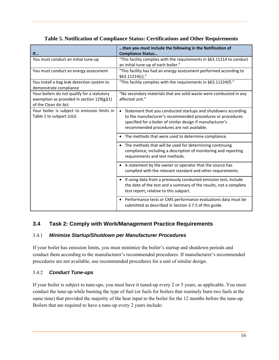|                                              | then you must include the following in the Notification of                 |
|----------------------------------------------|----------------------------------------------------------------------------|
| If                                           | <b>Compliance Status</b>                                                   |
| You must conduct an initial tune-up          | "This facility complies with the requirements in §63.11214 to conduct      |
|                                              | an initial tune-up of each boiler."                                        |
| You must conduct an energy assessment        | "This facility has had an energy assessment performed according to         |
|                                              | §63.11214(c)."                                                             |
| You install a bag leak detection system to   | "This facility complies with the requirements in §63.11224(f)."            |
| demonstrate compliance                       |                                                                            |
| Your boilers do not qualify for a statutory  | "No secondary materials that are solid waste were combusted in any         |
| exemption as provided in section $129(g)(1)$ | affected unit."                                                            |
| of the Clean Air Act                         |                                                                            |
| Your boiler is subject to emission limits in | Statement that you conducted startups and shutdowns according<br>$\bullet$ |
| Table 1 to subpart JJJJJJ.                   | to the manufacturer's recommended procedures or procedures                 |
|                                              | specified for a boiler of similar design if manufacturer's                 |
|                                              | recommended procedures are not available.                                  |
|                                              |                                                                            |
|                                              | The methods that were used to determine compliance.                        |
|                                              | The methods that will be used for determining continuing                   |
|                                              | compliance, including a description of monitoring and reporting            |
|                                              | requirements and test methods.                                             |
|                                              | • A statement by the owner or operator that the source has                 |
|                                              | complied with the relevant standard and other requirements.                |
|                                              |                                                                            |
|                                              | If using data from a previously conducted emission test, include           |
|                                              | the date of the test and a summary of the results, not a complete          |
|                                              | test report, relative to this subpart.                                     |
|                                              |                                                                            |
|                                              | • Performance tests or CMS performance evaluations data must be            |
|                                              | submitted as described in Section 3.7.5 of this guide.                     |

## **Table 5. Notification of Compliance Status: Certifications and Other Requirements**

## **3.4 Task 2: Comply with Work/Management Practice Requirements**

## 3.4.1 *Minimize Startup/Shutdown per Manufacturer Procedures*

If your boiler has emission limits, you must minimize the boiler's startup and shutdown periods and conduct them according to the manufacturer's recommended procedures. If manufacturer's recommended procedures are not available, use recommended procedures for a unit of similar design.

## 3.4.2 *Conduct Tune-ups*

If your boiler is subject to tune-ups, you must have it tuned-up every 2 or 5 years, as applicable. You must conduct the tune-up while burning the type of fuel (or fuels for boilers that routinely burn two fuels at the same time) that provided the majority of the heat input to the boiler for the 12 months before the tune-up. Boilers that are required to have a tune-up every 2 years include: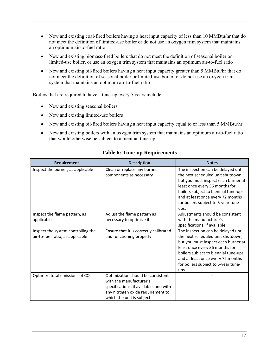- New and existing coal-fired boilers having a heat input capacity of less than 10 MMBtu/hr that do not meet the definition of limited-use boiler or do not use an oxygen trim system that maintains an optimum air-to-fuel ratio
- New and existing biomass-fired boilers that do not meet the definition of seasonal boiler or limited-use boiler, or use an oxygen trim system that maintains an optimum air-to-fuel ratio
- New and existing oil-fired boilers having a heat input capacity greater than 5 MMBtu/hr that do not meet the definition of seasonal boiler or limited-use boiler, or do not use an oxygen trim system that maintains an optimum air-to-fuel ratio

Boilers that are required to have a tune-up every 5 years include:

- New and existing seasonal boilers
- New and existing limited-use boilers
- New and existing oil-fired boilers having a heat input capacity equal to or less than 5 MMBtu/hr
- New and existing boilers with an oxygen trim system that maintains an optimum air-to-fuel ratio that would otherwise be subject to a biennial tune-up

| Requirement                        | <b>Description</b>                     | <b>Notes</b>                         |
|------------------------------------|----------------------------------------|--------------------------------------|
| Inspect the burner, as applicable  | Clean or replace any burner            | The inspection can be delayed until  |
|                                    | components as necessary                | the next scheduled unit shutdown,    |
|                                    |                                        | but you must inspect each burner at  |
|                                    |                                        | least once every 36 months for       |
|                                    |                                        | boilers subject to biennial tune-ups |
|                                    |                                        | and at least once every 72 months    |
|                                    |                                        | for boilers subject to 5-year tune-  |
|                                    |                                        | ups.                                 |
| Inspect the flame pattern, as      | Adjust the flame pattern as            | Adjustments should be consistent     |
| applicable                         | necessary to optimize it               | with the manufacturer's              |
|                                    |                                        | specifications, if available         |
| Inspect the system controlling the | Ensure that it is correctly calibrated | The inspection can be delayed until  |
| air-to-fuel ratio, as applicable   | and functioning properly               | the next scheduled unit shutdown,    |
|                                    |                                        | but you must inspect each burner at  |
|                                    |                                        | least once every 36 months for       |
|                                    |                                        | boilers subject to biennial tune-ups |
|                                    |                                        | and at least once every 72 months    |
|                                    |                                        | for boilers subject to 5-year tune-  |
|                                    |                                        | ups.                                 |
| Optimize total emissions of CO     | Optimization should be consistent      |                                      |
|                                    | with the manufacturer's                |                                      |
|                                    | specifications, if available, and with |                                      |
|                                    | any nitrogen oxide requirement to      |                                      |
|                                    | which the unit is subject              |                                      |

## **Table 6: Tune-up Requirements**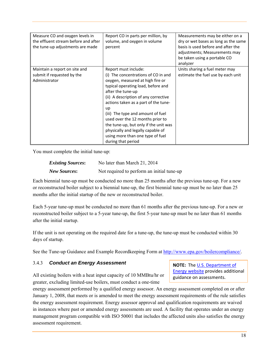| Measure CO and oxygen levels in<br>the effluent stream before and after<br>the tune-up adjustments are made | Report CO in parts per million, by<br>volume, and oxygen in volume<br>percent | Measurements may be either on a<br>dry or wet bases as long as the same<br>basis is used before and after the<br>adjustments; Measurements may<br>be taken using a portable CO<br>analyzer |
|-------------------------------------------------------------------------------------------------------------|-------------------------------------------------------------------------------|--------------------------------------------------------------------------------------------------------------------------------------------------------------------------------------------|
| Maintain a report on site and                                                                               | Report must include:                                                          | Units sharing a fuel meter may                                                                                                                                                             |
| submit if requested by the                                                                                  | (i) The concentrations of CO in and                                           | estimate the fuel use by each unit                                                                                                                                                         |
| Administrator                                                                                               | oxygen, measured at high fire or                                              |                                                                                                                                                                                            |
|                                                                                                             | typical operating load, before and                                            |                                                                                                                                                                                            |
|                                                                                                             | after the tune-up                                                             |                                                                                                                                                                                            |
|                                                                                                             | (ii) A description of any corrective                                          |                                                                                                                                                                                            |
|                                                                                                             | actions taken as a part of the tune-                                          |                                                                                                                                                                                            |
|                                                                                                             | up                                                                            |                                                                                                                                                                                            |
|                                                                                                             | (iii) The type and amount of fuel                                             |                                                                                                                                                                                            |
|                                                                                                             | used over the 12 months prior to                                              |                                                                                                                                                                                            |
|                                                                                                             | the tune-up, but only if the unit was                                         |                                                                                                                                                                                            |
|                                                                                                             | physically and legally capable of                                             |                                                                                                                                                                                            |
|                                                                                                             | using more than one type of fuel                                              |                                                                                                                                                                                            |
|                                                                                                             | during that period                                                            |                                                                                                                                                                                            |

You must complete the initial tune-up:

| <b>Existing Sources:</b> | No later than March 21, 2014               |
|--------------------------|--------------------------------------------|
| <b>New Sources:</b>      | Not required to perform an initial tune-up |

Each biennial tune-up must be conducted no more than 25 months after the previous tune-up. For a new or reconstructed boiler subject to a biennial tune-up, the first biennial tune-up must be no later than 25 months after the initial startup of the new or reconstructed boiler.

Each 5-year tune-up must be conducted no more than 61 months after the previous tune-up. For a new or reconstructed boiler subject to a 5-year tune-up, the first 5-year tune-up must be no later than 61 months after the initial startup.

If the unit is not operating on the required date for a tune-up, the tune-up must be conducted within 30 days of startup.

See the Tune-up Guidance and Example Recordkeeping Form at http://www.epa.gov/boilercompliance/.

#### 3.4.3 *Conduct an Energy Assessment*

All existing boilers with a heat input capacity of 10 MMBtu/hr or greater, excluding limited-use boilers, must conduct a one-time

**NOTE:** The U.S. Department of Energy website provides additional guidance on assessments.

energy assessment performed by a qualified energy assessor. An energy assessment completed on or after January 1, 2008, that meets or is amended to meet the energy assessment requirements of the rule satisfies the energy assessment requirement. Energy assessor approval and qualification requirements are waived in instances where past or amended energy assessments are used. A facility that operates under an energy management program compatible with ISO 50001 that includes the affected units also satisfies the energy assessment requirement.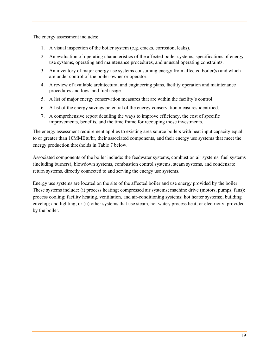The energy assessment includes:

- 1. A visual inspection of the boiler system (e.g. cracks, corrosion, leaks).
- 2. An evaluation of operating characteristics of the affected boiler systems, specifications of energy use systems, operating and maintenance procedures, and unusual operating constraints.
- 3. An inventory of major energy use systems consuming energy from affected boiler(s) and which are under control of the boiler owner or operator.
- 4. A review of available architectural and engineering plans, facility operation and maintenance procedures and logs, and fuel usage.
- 5. A list of major energy conservation measures that are within the facility's control.
- 6. A list of the energy savings potential of the energy conservation measures identified.
- 7. A comprehensive report detailing the ways to improve efficiency, the cost of specific improvements, benefits, and the time frame for recouping those investments.

The energy assessment requirement applies to existing area source boilers with heat input capacity equal to or greater than 10MMBtu/hr, their associated components, and their energy use systems that meet the energy production thresholds in Table 7 below.

Associated components of the boiler include: the feedwater systems, combustion air systems, fuel systems (including burners), blowdown systems, combustion control systems, steam systems, and condensate return systems, directly connected to and serving the energy use systems.

Energy use systems are located on the site of the affected boiler and use energy provided by the boiler. These systems include: (i) process heating; compressed air systems; machine drive (motors, pumps, fans); process cooling; facility heating, ventilation, and air-conditioning systems; hot heater systems;, building envelop; and lighting; or (ii) other systems that use steam, hot water**,** process heat, or electricity, provided by the boiler.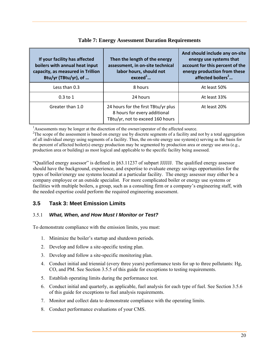| If your facility has affected<br>boilers with annual heat input<br>capacity, as measured in Trillion<br>Btu/yr (TBtu/yr), of | Then the length of the energy<br>assessment, in on-site technical<br>labor hours, should not<br>exceed <sup>1</sup> | And should include any on-site<br>energy use systems that<br>account for this percent of the<br>energy production from these<br>affected boilers <sup>2</sup> |
|------------------------------------------------------------------------------------------------------------------------------|---------------------------------------------------------------------------------------------------------------------|---------------------------------------------------------------------------------------------------------------------------------------------------------------|
| Less than 0.3                                                                                                                | 8 hours                                                                                                             | At least 50%                                                                                                                                                  |
| $0.3$ to 1                                                                                                                   | 24 hours                                                                                                            | At least 33%                                                                                                                                                  |
| Greater than 1.0                                                                                                             | 24 hours for the first TBtu/yr plus<br>8 hours for every additional<br>TBtu/yr, not to exceed 160 hours             | At least 20%                                                                                                                                                  |

#### **Table 7: Energy Assessment Duration Requirements**

<sup>1</sup>Assessments may be longer at the discretion of the owner/operator of the affected source.  $2\text{The second of the necessary tree}$ 

<sup>2</sup>The scope of the assessment is based on energy use by discrete segments of a facility and not by a total aggregation of all individual energy using segments of a facility. Thus, the on-site energy use system(s) serving as the basis for the percent of affected boiler(s) energy production may be segmented by production area or energy use area (e.g., production area or building) as most logical and applicable to the specific facility being assessed.

"Qualified energy assessor" is defined in §63.11237 of subpart JJJJJJ. The qualified energy assessor should have the background, experience, and expertise to evaluate energy savings opportunities for the types of boiler/energy use systems located at a particular facility. The energy assessor may either be a company employee or an outside specialist. For more complicated boiler or energy use systems or facilities with multiple boilers, a group, such as a consulting firm or a company's engineering staff, with the needed expertise could perform the required engineering assessment.

## **3.5 Task 3: Meet Emission Limits**

## 3.5.1 *What, When, and How Must I Monitor or Test?*

To demonstrate compliance with the emission limits, you must:

- 1. Minimize the boiler's startup and shutdown periods.
- 2. Develop and follow a site-specific testing plan.
- 3. Develop and follow a site-specific monitoring plan.
- 4. Conduct initial and triennial (every three years) performance tests for up to three pollutants: Hg, CO, and PM. See Section 3.5.5 of this guide for exceptions to testing requirements.
- 5. Establish operating limits during the performance test.
- 6. Conduct initial and quarterly, as applicable, fuel analysis for each type of fuel. See Section 3.5.6 of this guide for exceptions to fuel analysis requirements.
- 7. Monitor and collect data to demonstrate compliance with the operating limits.
- 8. Conduct performance evaluations of your CMS.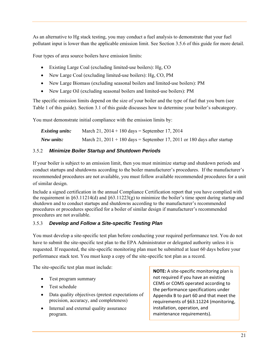As an alternative to Hg stack testing, you may conduct a fuel analysis to demonstrate that your fuel pollutant input is lower than the applicable emission limit. See Section 3.5.6 of this guide for more detail.

Four types of area source boilers have emission limits:

- Existing Large Coal (excluding limited-use boilers): Hg, CO
- New Large Coal (excluding limited-use boilers): Hg, CO, PM
- New Large Biomass (excluding seasonal boilers and limited-use boilers): PM
- New Large Oil (excluding seasonal boilers and limited-use boilers): PM

The specific emission limits depend on the size of your boiler and the type of fuel that you burn (see Table 1 of this guide). Section 3.1 of this guide discusses how to determine your boiler's subcategory.

You must demonstrate initial compliance with the emission limits by:

| <b>Existing units:</b> | March 21, $2014 + 180$ days = September 17, 2014                           |
|------------------------|----------------------------------------------------------------------------|
| New units:             | March 21, $2011 + 180$ days = September 17, 2011 or 180 days after startup |

## 3.5.2 *Minimize Boiler Startup and Shutdown Periods*

If your boiler is subject to an emission limit, then you must minimize startup and shutdown periods and conduct startups and shutdowns according to the boiler manufacturer's procedures. If the manufacturer's recommended procedures are not available, you must follow available recommended procedures for a unit of similar design.

Include a signed certification in the annual Compliance Certification report that you have complied with the requirement in §63.11214(d) and §63.11223(g) to minimize the boiler's time spent during startup and shutdown and to conduct startups and shutdowns according to the manufacturer's recommended procedures or procedures specified for a boiler of similar design if manufacturer's recommended procedures are not available.

## 3.5.3 *Develop and Follow a Site-specific Testing Plan*

You must develop a site-specific test plan before conducting your required performance test. You do not have to submit the site-specific test plan to the EPA Administrator or delegated authority unless it is requested. If requested, the site-specific monitoring plan must be submitted at least 60 days before your performance stack test. You must keep a copy of the site-specific test plan as a record.

The site-specific test plan must include:

- Test program summary
- Test schedule
- Data quality objectives (pretest expectations of precision, accuracy, and completeness)
- Internal and external quality assurance program.

**NOTE:** A site‐specific monitoring plan is not required if you have an existing CEMS or COMS operated according to the performance specifications under Appendix B to part 60 and that meet the requirements of §63.11224 (monitoring, installation, operation, and maintenance requirements).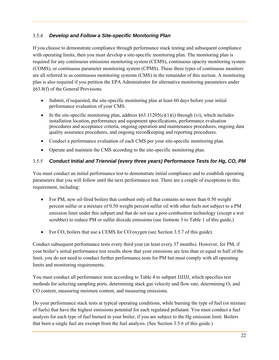## 3.5.4 *Develop and Follow a Site-specific Monitoring Plan*

If you choose to demonstrate compliance through performance stack testing and subsequent compliance with operating limits, then you must develop a site-specific monitoring plan. The monitoring plan is required for any continuous emissions monitoring system (CEMS), continuous opacity monitoring system (COMS), or continuous parameter monitoring system (CPMS). These three types of continuous monitors are all referred to as continuous monitoring systems (CMS) in the remainder of this section. A monitoring plan is also required if you petition the EPA Administrator for alternative monitoring parameters under §63.8(f) of the General Provisions.

- Submit, if requested, the site-specific monitoring plan at least 60 days before your initial performance evaluation of your CMS.
- In the site-specific monitoring plan, address  $\S 63.11205(c)(1)(i)$  through (vi), which includes installation location, performance and equipment specifications, performance evaluation procedures and acceptance criteria, ongoing operation and maintenance procedures, ongoing data quality assurance procedures, and ongoing recordkeeping and reporting procedures.
- Conduct a performance evaluation of each CMS per your site-specific monitoring plan.
- Operate and maintain the CMS according to the site-specific monitoring plan.

## 3.5.5 *Conduct Initial and Triennial (every three years) Performance Tests for Hg, CO, PM*

You must conduct an initial performance test to demonstrate initial compliance and to establish operating parameters that you will follow until the next performance test. There are a couple of exceptions to this requirement, including:

- For PM, new oil-fired boilers that combust only oil that contains no more than 0.50 weight percent sulfur or a mixture of 0.50 weight percent sulfur oil with other fuels not subject to a PM emission limit under this subpart and that do not use a post-combustion technology (except a wet scrubber) to reduce PM or sulfur dioxide emissions (see footnote 3 to Table 1 of this guide,)
- For CO, boilers that use a CEMS for CO/oxygen (see Section 3.5.7 of this guide).

Conduct subsequent performance tests every third year (at least every 37 months). However, for PM, if your boiler's initial performance test results show that your emissions are less than or equal to half of the limit, you do not need to conduct further performance tests for PM but must comply with all operating limits and monitoring requirements.

You must conduct all performance tests according to Table 4 to subpart JJJJJJ, which specifies test methods for selecting sampling ports, determining stack gas velocity and flow rate, determining  $O_2$  and CO content, measuring moisture content, and measuring emissions.

Do your performance stack tests at typical operating conditions, while burning the type of fuel (or mixture of fuels) that have the highest emissions potential for each regulated pollutant. You must conduct a fuel analysis for each type of fuel burned in your boiler, if you are subject to the Hg emission limit. Boilers that burn a single fuel are exempt from the fuel analysis. (See Section 3.5.6 of this guide.)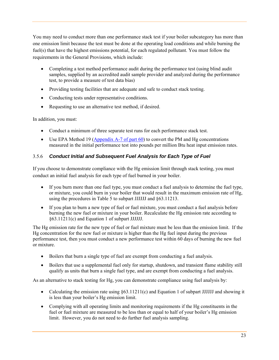You may need to conduct more than one performance stack test if your boiler subcategory has more than one emission limit because the test must be done at the operating load conditions and while burning the fuel(s) that have the highest emissions potential, for each regulated pollutant. You must follow the requirements in the General Provisions, which include:

- Completing a test method performance audit during the performance test (using blind audit samples, supplied by an accredited audit sample provider and analyzed during the performance test, to provide a measure of test data bias)
- Providing testing facilities that are adequate and safe to conduct stack testing.
- Conducting tests under representative conditions.
- Requesting to use an alternative test method, if desired.

In addition, you must:

- Conduct a minimum of three separate test runs for each performance stack test.
- Use EPA Method 19 ( $\Delta$ ppendix A-7 of part 60) to convert the PM and Hg concentrations measured in the initial performance test into pounds per million Btu heat input emission rates.

## 3.5.6 *Conduct Initial and Subsequent Fuel Analysis for Each Type of Fuel*

If you choose to demonstrate compliance with the Hg emission limit through stack testing, you must conduct an initial fuel analysis for each type of fuel burned in your boiler.

- If you burn more than one fuel type, you must conduct a fuel analysis to determine the fuel type, or mixture, you could burn in your boiler that would result in the maximum emission rate of Hg, using the procedures in Table 5 to subpart JJJJJJ and §63.11213.
- If you plan to burn a new type of fuel or fuel mixture, you must conduct a fuel analysis before burning the new fuel or mixture in your boiler. Recalculate the Hg emission rate according to §63.11211(c) and Equation 1 of subpart JJJJJJ.

The Hg emission rate for the new type of fuel or fuel mixture must be less than the emission limit. If the Hg concentration for the new fuel or mixture is higher than the Hg fuel input during the previous performance test, then you must conduct a new performance test within 60 days of burning the new fuel or mixture.

- Boilers that burn a single type of fuel are exempt from conducting a fuel analysis.
- Boilers that use a supplemental fuel only for startup, shutdown, and transient flame stability still qualify as units that burn a single fuel type, and are exempt from conducting a fuel analysis.

As an alternative to stack testing for Hg, you can demonstrate compliance using fuel analysis by:

- Calculating the emission rate using §63.11211(c) and Equation 1 of subpart JJJJJJ and showing it is less than your boiler's Hg emission limit.
- Complying with all operating limits and monitoring requirements if the Hg constituents in the fuel or fuel mixture are measured to be less than or equal to half of your boiler's Hg emission limit. However, you do not need to do further fuel analysis sampling.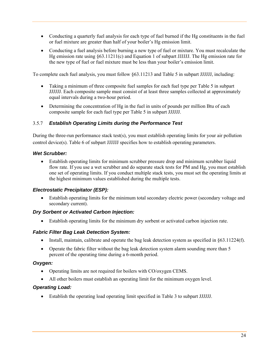- Conducting a quarterly fuel analysis for each type of fuel burned if the Hg constituents in the fuel or fuel mixture are greater than half of your boiler's Hg emission limit.
- Conducting a fuel analysis before burning a new type of fuel or mixture. You must recalculate the Hg emission rate using §63.11211(c) and Equation 1 of subpart JJJJJJ. The Hg emission rate for the new type of fuel or fuel mixture must be less than your boiler's emission limit.

To complete each fuel analysis, you must follow §63.11213 and Table 5 in subpart JJJJJJ, including:

- Taking a minimum of three composite fuel samples for each fuel type per Table 5 in subpart JJJJJJ. Each composite sample must consist of at least three samples collected at approximately equal intervals during a two-hour period.
- Determining the concentration of Hg in the fuel in units of pounds per million Btu of each composite sample for each fuel type per Table 5 in subpart JJJJJJ.

#### 3.5.7 *Establish Operating Limits during the Performance Test*

During the three-run performance stack test(s), you must establish operating limits for your air pollution control device(s). Table 6 of subpart JJJJJJ specifies how to establish operating parameters.

#### *Wet Scrubber:*

 Establish operating limits for minimum scrubber pressure drop and minimum scrubber liquid flow rate. If you use a wet scrubber and do separate stack tests for PM and Hg, you must establish one set of operating limits. If you conduct multiple stack tests, you must set the operating limits at the highest minimum values established during the multiple tests.

#### *Electrostatic Precipitator (ESP):*

 Establish operating limits for the minimum total secondary electric power (secondary voltage and secondary current).

#### *Dry Sorbent or Activated Carbon Injection:*

Establish operating limits for the minimum dry sorbent or activated carbon injection rate.

#### *Fabric Filter Bag Leak Detection System:*

- Install, maintain, calibrate and operate the bag leak detection system as specified in §63.11224(f).
- Operate the fabric filter without the bag leak detection system alarm sounding more than 5 percent of the operating time during a 6-month period.

#### *Oxygen:*

- Operating limits are not required for boilers with CO/oxygen CEMS.
- All other boilers must establish an operating limit for the minimum oxygen level.

#### *Operating Load:*

Establish the operating load operating limit specified in Table 3 to subpart JJJJJJ.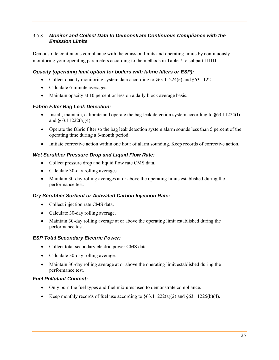#### 3.5.8 *Monitor and Collect Data to Demonstrate Continuous Compliance with the Emission Limits*

Demonstrate continuous compliance with the emission limits and operating limits by continuously monitoring your operating parameters according to the methods in Table 7 to subpart JJJJJJ.

## *Opacity (operating limit option for boilers with fabric filters or ESP):*

- Collect opacity monitoring system data according to  $\S 63.11224(e)$  and  $\S 63.11221$ .
- Calculate 6-minute averages.
- Maintain opacity at 10 percent or less on a daily block average basis.

#### *Fabric Filter Bag Leak Detection:*

- Install, maintain, calibrate and operate the bag leak detection system according to  $\S 63.11224(f)$ and §63.11222(a)(4).
- Operate the fabric filter so the bag leak detection system alarm sounds less than 5 percent of the operating time during a 6-month period.
- Initiate corrective action within one hour of alarm sounding. Keep records of corrective action.

## *Wet Scrubber Pressure Drop and Liquid Flow Rate:*

- Collect pressure drop and liquid flow rate CMS data.
- Calculate 30-day rolling averages.
- Maintain 30-day rolling averages at or above the operating limits established during the performance test.

## *Dry Scrubber Sorbent or Activated Carbon Injection Rate:*

- Collect injection rate CMS data.
- Calculate 30-day rolling average.
- Maintain 30-day rolling average at or above the operating limit established during the performance test.

## *ESP Total Secondary Electric Power:*

- Collect total secondary electric power CMS data.
- Calculate 30-day rolling average.
- Maintain 30-day rolling average at or above the operating limit established during the performance test.

## *Fuel Pollutant Content:*

- Only burn the fuel types and fuel mixtures used to demonstrate compliance.
- Exerpendiate Keep monthly records of fuel use according to  $\S 63.11222(a)(2)$  and  $\S 63.11225(b)(4)$ .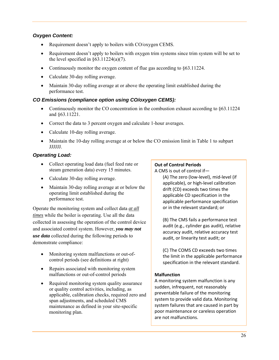## *Oxygen Content:*

- Requirement doesn't apply to boilers with CO/oxygen CEMS.
- Requirement doesn't apply to boilers with oxygen trim systems since trim system will be set to the level specified in  $\S 63.11224(a)(7)$ .
- Continuously monitor the oxygen content of flue gas according to §63.11224.
- Calculate 30-day rolling average.
- Maintain 30-day rolling average at or above the operating limit established during the performance test.

#### *CO Emissions (compliance option using CO/oxygen CEMS):*

- Continuously monitor the CO concentration in the combustion exhaust according to  $§63.11224$ and §63.11221.
- Correct the data to 3 percent oxygen and calculate 1-hour averages.
- Calculate 10-day rolling average.
- Maintain the 10-day rolling average at or below the CO emission limit in Table 1 to subpart JJJJJJ.

#### *Operating Load:*

- Collect operating load data (fuel feed rate or steam generation data) every 15 minutes.
- Calculate 30-day rolling average.
- Maintain 30-day rolling average at or below the operating limit established during the performance test.

Operate the monitoring system and collect data *at all times* while the boiler is operating. Use all the data collected in assessing the operation of the control device and associated control system. However, *you may not use data* collected during the following periods to demonstrate compliance:

- Monitoring system malfunctions or out-ofcontrol periods (see definitions at right)
- Repairs associated with monitoring system malfunctions or out-of-control periods
- Required monitoring system quality assurance or quality control activities, including, as applicable, calibration checks, required zero and span adjustments, and scheduled CMS maintenance as defined in your site-specific monitoring plan.

#### **Out of Control Periods**

A CMS is out of control if— (A) The zero (low‐level), mid‐level (if applicable), or high‐level calibration

drift (CD) exceeds two times the applicable CD specification in the applicable performance specification or in the relevant standard; or

(B) The CMS fails a performance test audit (e.g., cylinder gas audit), relative accuracy audit, relative accuracy test audit, or linearity test audit; or

(C) The COMS CD exceeds two times the limit in the applicable performance specification in the relevant standard.

#### **Malfunction**

A monitoring system malfunction is any sudden, infrequent, not reasonably preventable failure of the monitoring system to provide valid data. Monitoring system failures that are caused in part by poor maintenance or careless operation are not malfunctions.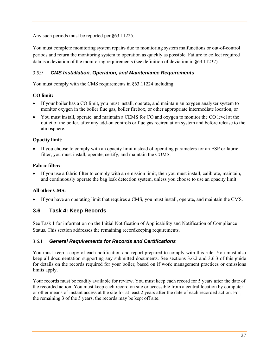Any such periods must be reported per §63.11225.

You must complete monitoring system repairs due to monitoring system malfunctions or out-of-control periods and return the monitoring system to operation as quickly as possible. Failure to collect required data is a deviation of the monitoring requirements (see definition of deviation in §63.11237).

## 3.5.9 *CMS Installation, Operation, and Maintenance Requirements*

You must comply with the CMS requirements in §63.11224 including:

#### **CO limit:**

- If your boiler has a CO limit, you must install, operate, and maintain an oxygen analyzer system to monitor oxygen in the boiler flue gas, boiler firebox, or other appropriate intermediate location, or
- You must install, operate, and maintain a CEMS for CO and oxygen to monitor the CO level at the outlet of the boiler, after any add-on controls or flue gas recirculation system and before release to the atmosphere.

#### **Opacity limit:**

 If you choose to comply with an opacity limit instead of operating parameters for an ESP or fabric filter, you must install, operate, certify, and maintain the COMS.

#### **Fabric filter:**

 If you use a fabric filter to comply with an emission limit, then you must install, calibrate, maintain, and continuously operate the bag leak detection system, unless you choose to use an opacity limit.

## **All other CMS:**

If you have an operating limit that requires a CMS, you must install, operate, and maintain the CMS.

## **3.6 Task 4: Keep Records**

See Task 1 for information on the Initial Notification of Applicability and Notification of Compliance Status. This section addresses the remaining recordkeeping requirements.

## 3.6.1 *General Requirements for Records and Certifications*

You must keep a copy of each notification and report prepared to comply with this rule. You must also keep all documentation supporting any submitted documents. See sections 3.6.2 and 3.6.3 of this guide for details on the records required for your boiler, based on if work management practices or emissions limits apply.

Your records must be readily available for review. You must keep each record for 5 years after the date of the recorded action. You must keep each record on site or accessible from a central location by computer or other means of instant access at the site for at least 2 years after the date of each recorded action. For the remaining 3 of the 5 years, the records may be kept off site.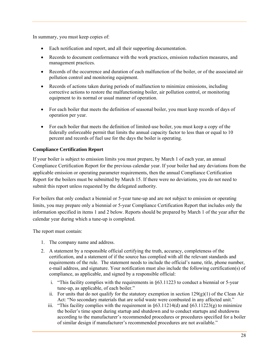In summary, you must keep copies of:

- Each notification and report, and all their supporting documentation.
- Records to document conformance with the work practices, emission reduction measures, and management practices.
- Records of the occurrence and duration of each malfunction of the boiler, or of the associated air pollution control and monitoring equipment.
- Records of actions taken during periods of malfunction to minimize emissions, including corrective actions to restore the malfunctioning boiler, air pollution control, or monitoring equipment to its normal or usual manner of operation.
- For each boiler that meets the definition of seasonal boiler, you must keep records of days of operation per year.
- For each boiler that meets the definition of limited-use boiler, you must keep a copy of the federally enforceable permit that limits the annual capacity factor to less than or equal to 10 percent and records of fuel use for the days the boiler is operating.

#### **Compliance Certification Report**

If your boiler is subject to emission limits you must prepare, by March 1 of each year, an annual Compliance Certification Report for the previous calendar year. If your boiler had any deviations from the applicable emission or operating parameter requirements, then the annual Compliance Certification Report for the boilers must be submitted by March 15. If there were no deviations, you do not need to submit this report unless requested by the delegated authority.

For boilers that only conduct a biennial or 5-year tune-up and are not subject to emission or operating limits, you may prepare only a biennial or 5-year Compliance Certification Report that includes only the information specified in items 1 and 2 below. Reports should be prepared by March 1 of the year after the calendar year during which a tune-up is completed.

The report must contain:

- 1. The company name and address.
- 2. A statement by a responsible official certifying the truth, accuracy, completeness of the certification, and a statement of if the source has complied with all the relevant standards and requirements of the rule. The statement needs to include the official's name, title, phone number, e-mail address, and signature. Your notification must also include the following certification(s) of compliance, as applicable, and signed by a responsible official:
	- i. "This facility complies with the requirements in §63.11223 to conduct a biennial or 5-year tune-up, as applicable, of each boiler."
	- ii. For units that do not qualify for the statutory exemption in section  $129(g)(1)$  of the Clean Air Act: "No secondary materials that are solid waste were combusted in any affected unit."
	- iii. "This facility complies with the requirement in  $\S 63.11214(d)$  and  $\S 63.11223(g)$  to minimize the boiler's time spent during startup and shutdown and to conduct startups and shutdowns according to the manufacturer's recommended procedures or procedures specified for a boiler of similar design if manufacturer's recommended procedures are not available."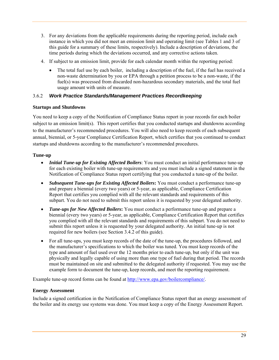- 3. For any deviations from the applicable requirements during the reporting period, include each instance in which you did not meet an emission limit and operating limit (see Tables 1 and 3 of this guide for a summary of these limits, respectively). Include a description of deviations, the time periods during which the deviations occurred, and any corrective actions taken.
- 4. If subject to an emission limit, provide for each calendar month within the reporting period:
	- The total fuel use by each boiler, including a description of the fuel, if the fuel has received a non-waste determination by you or EPA through a petition process to be a non-waste, if the fuel(s) was processed from discarded non-hazardous secondary materials, and the total fuel usage amount with units of measure.

## 3.6.2 *Work Practice Standards/Management Practices Recordkeeping*

#### **Startups and Shutdowns**

You need to keep a copy of the Notification of Compliance Status report in your records for each boiler subject to an emission limit(s). This report certifies that you conducted startups and shutdowns according to the manufacturer's recommended procedures. You will also need to keep records of each subsequent annual, biennial, or 5-year Compliance Certification Report, which certifies that you continued to conduct startups and shutdowns according to the manufacturer's recommended procedures.

## **Tune-up**

- *Initial Tune-up for Existing Affected Boilers*: You must conduct an initial performance tune-up for each existing boiler with tune-up requirements and you must include a signed statement in the Notification of Compliance Status report certifying that you conducted a tune-up of the boiler.
- *Subsequent Tune-ups for Existing Affected Boilers***:** You must conduct a performance tune-up and prepare a biennial (every two years) or 5-year, as applicable, Compliance Certification Report that certifies you complied with all the relevant standards and requirements of this subpart. You do not need to submit this report unless it is requested by your delegated authority.
- *Tune-ups for New Affected Boilers***:** You must conduct a performance tune-up and prepare a biennial (every two years) or 5-year, as applicable, Compliance Certification Report that certifies you complied with all the relevant standards and requirements of this subpart. You do not need to submit this report unless it is requested by your delegated authority. An initial tune-up is not required for new boilers (see Section 3.4.2 of this guide).
- For all tune-ups, you must keep records of the date of the tune-up, the procedures followed, and the manufacturer's specifications to which the boiler was tuned. You must keep records of the type and amount of fuel used over the 12 months prior to each tune-up, but only if the unit was physically and legally capable of using more than one type of fuel during that period. The records must be maintained on site and submitted to the delegated authority if requested. You may use the example form to document the tune-up, keep records, and meet the reporting requirement.

Example tune-up record forms can be found at http://www.epa.gov/boilercompliance/.

## **Energy Assessment**

Include a signed certification in the Notification of Compliance Status report that an energy assessment of the boiler and its energy use systems was done. You must keep a copy of the Energy Assessment Report.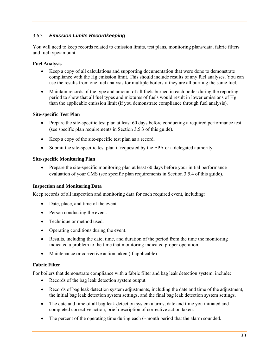## 3.6.3 *Emission Limits Recordkeeping*

You will need to keep records related to emission limits, test plans, monitoring plans/data, fabric filters and fuel type/amount.

#### **Fuel Analysis**

- Keep a copy of all calculations and supporting documentation that were done to demonstrate compliance with the Hg emission limit. This should include results of any fuel analyses. You can use the results from one fuel analysis for multiple boilers if they are all burning the same fuel.
- Maintain records of the type and amount of all fuels burned in each boiler during the reporting period to show that all fuel types and mixtures of fuels would result in lower emissions of Hg than the applicable emission limit (if you demonstrate compliance through fuel analysis).

#### **Site-specific Test Plan**

- Prepare the site-specific test plan at least 60 days before conducting a required performance test (see specific plan requirements in Section 3.5.3 of this guide).
- Keep a copy of the site-specific test plan as a record.
- Submit the site-specific test plan if requested by the EPA or a delegated authority.

#### **Site-specific Monitoring Plan**

• Prepare the site-specific monitoring plan at least 60 days before your initial performance evaluation of your CMS (see specific plan requirements in Section 3.5.4 of this guide).

## **Inspection and Monitoring Data**

Keep records of all inspection and monitoring data for each required event, including:

- Date, place, and time of the event.
- Person conducting the event.
- Technique or method used.
- Operating conditions during the event.
- Results, including the date, time, and duration of the period from the time the monitoring indicated a problem to the time that monitoring indicated proper operation.
- Maintenance or corrective action taken (if applicable).

## **Fabric Filter**

For boilers that demonstrate compliance with a fabric filter and bag leak detection system, include:

- Records of the bag leak detection system output.
- Records of bag leak detection system adjustments, including the date and time of the adjustment, the initial bag leak detection system settings, and the final bag leak detection system settings.
- The date and time of all bag leak detection system alarms, date and time you initiated and completed corrective action, brief description of corrective action taken.
- The percent of the operating time during each 6-month period that the alarm sounded.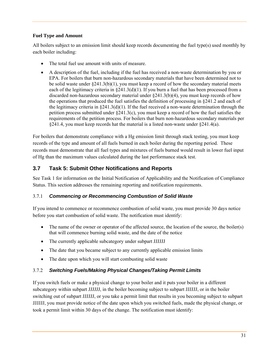#### **Fuel Type and Amount**

All boilers subject to an emission limit should keep records documenting the fuel type(s) used monthly by each boiler including:

- The total fuel use amount with units of measure.
- A description of the fuel, including if the fuel has received a non-waste determination by you or EPA. For boilers that burn non-hazardous secondary materials that have been determined not to be solid waste under  $\S 241.3(b)(1)$ , you must keep a record of how the secondary material meets each of the legitimacy criteria in §241.3(d)(1). If you burn a fuel that has been processed from a discarded non-hazardous secondary material under §241.3(b)(4), you must keep records of how the operations that produced the fuel satisfies the definition of processing in §241.2 and each of the legitimacy criteria in §241.3(d)(1). If the fuel received a non-waste determination through the petition process submitted under §241.3(c), you must keep a record of how the fuel satisfies the requirements of the petition process. For boilers that burn non-hazardous secondary materials per §241.4, you must keep records hat the material is a listed non-waste under §241.4(a).

For boilers that demonstrate compliance with a Hg emission limit through stack testing, you must keep records of the type and amount of all fuels burned in each boiler during the reporting period. These records must demonstrate that all fuel types and mixtures of fuels burned would result in lower fuel input of Hg than the maximum values calculated during the last performance stack test.

## **3.7 Task 5: Submit Other Notifications and Reports**

See Task 1 for information on the Initial Notification of Applicability and the Notification of Compliance Status. This section addresses the remaining reporting and notification requirements.

## 3.7.1 *Commencing or Recommencing Combustion of Solid Waste*

If you intend to commence or recommence combustion of solid waste, you must provide 30 days notice before you start combustion of solid waste. The notification must identify:

- The name of the owner or operator of the affected source, the location of the source, the boiler(s) that will commence burning solid waste, and the date of the notice
- The currently applicable subcategory under subpart JJJJJJ
- The date that you became subject to any currently applicable emission limits
- The date upon which you will start combusting solid waste

## 3.7.2 *Switching Fuels/Making Physical Changes/Taking Permit Limits*

If you switch fuels or make a physical change to your boiler and it puts your boiler in a different subcategory within subpart JJJJJJ, in the boiler becoming subject to subpart JJJJJJ, or in the boiler switching out of subpart JJJJJJ, or you take a permit limit that results in you becoming subject to subpart JJJJJJ, you must provide notice of the date upon which you switched fuels, made the physical change, or took a permit limit within 30 days of the change. The notification must identify: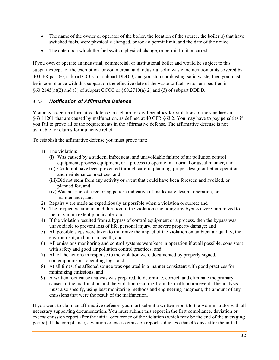- The name of the owner or operator of the boiler, the location of the source, the boiler(s) that have switched fuels, were physically changed, or took a permit limit, and the date of the notice.
- The date upon which the fuel switch, physical change, or permit limit occurred.

If you own or operate an industrial, commercial, or institutional boiler and would be subject to this subpart except for the exemption for commercial and industrial solid waste incineration units covered by 40 CFR part 60, subpart CCCC or subpart DDDD, and you stop combusting solid waste, then you must be in compliance with this subpart on the effective date of the waste to fuel switch as specified in  $§60.2145(a)(2)$  and (3) of subpart CCCC or  $§60.2710(a)(2)$  and (3) of subpart DDDD.

## 3.7.3 *Notification of Affirmative Defense*

You may assert an affirmative defense to a claim for civil penalties for violations of the standards in §63.11201 that are caused by malfunction, as defined at 40 CFR §63.2. You may have to pay penalties if you fail to prove all of the requirements in the affirmative defense. The affirmative defense is not available for claims for injunctive relief.

To establish the affirmative defense you must prove that:

- 1) The violation:
	- (i) Was caused by a sudden, infrequent, and unavoidable failure of air pollution control equipment, process equipment, or a process to operate in a normal or usual manner, and
	- (ii) Could not have been prevented through careful planning, proper design or better operation and maintenance practices; and
	- (iii)Did not stem from any activity or event that could have been foreseen and avoided, or planned for; and
	- (iv) Was not part of a recurring pattern indicative of inadequate design, operation, or maintenance; and
- 2) Repairs were made as expeditiously as possible when a violation occurred; and
- 3) The frequency, amount and duration of the violation (including any bypass) were minimized to the maximum extent practicable; and
- 4) If the violation resulted from a bypass of control equipment or a process, then the bypass was unavoidable to prevent loss of life, personal injury, or severe property damage; and
- 5) All possible steps were taken to minimize the impact of the violation on ambient air quality, the environment, and human health; and
- 6) All emissions monitoring and control systems were kept in operation if at all possible, consistent with safety and good air pollution control practices; and
- 7) All of the actions in response to the violation were documented by properly signed, contemporaneous operating logs; and
- 8) At all times, the affected source was operated in a manner consistent with good practices for minimizing emissions; and
- 9) A written root cause analysis was prepared, to determine, correct, and eliminate the primary causes of the malfunction and the violation resulting from the malfunction event. The analysis must also specify, using best monitoring methods and engineering judgment, the amount of any emissions that were the result of the malfunction.

If you want to claim an affirmative defense, you must submit a written report to the Administrator with all necessary supporting documentation. You must submit this report in the first compliance, deviation or excess emission report after the initial occurrence of the violation (which may be the end of the averaging period). If the compliance, deviation or excess emission report is due less than 45 days after the initial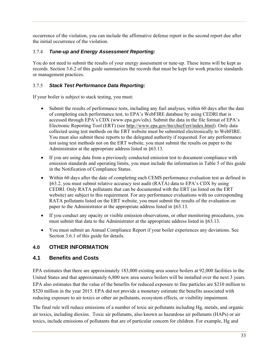occurrence of the violation, you can include the affirmative defense report in the second report due after the initial occurrence of the violation.

## 3.7.4 *Tune-up and Energy Assessment Reporting:*

You do not need to submit the results of your energy assessment or tune-up. These items will be kept as records. Section 3.6.2 of this guide summarizes the records that must be kept for work practice standards or management practices.

## 3.7.5 *Stack Test Performance Data Reporting:*

If your boiler is subject to stack testing, you must:

- Submit the results of performance tests, including any fuel analyses, within 60 days after the date of completing each performance test, to EPA's WebFIRE database by using CEDRI that is accessed through EPA's CDX (www.epa.gov/cdx). Submit the data in the file format of EPA's Electronic Reporting Tool (ERT) (see http://www.epa.gov/ttn/chief/ert/index.html). Only data collected using test methods on the ERT website must be submitted electronically to WebFIRE. You must also submit these reports to the delegated authority if requested. For any performance test using test methods not on the ERT website, you must submit the results on paper to the Administrator at the appropriate address listed in §63.13.
- If you are using data from a previously conducted emission test to document compliance with emission standards and operating limits, you must include the information in Table 5 of this guide in the Notification of Compliance Status.
- Within 60 days after the date of completing each CEMS performance evaluation test as defined in §63.2, you must submit relative accuracy test audit (RATA) data to EPA's CDX by using CEDRI. Only RATA pollutants that can be documented with the ERT (as listed on the ERT website) are subject to this requirement. For any performance evaluations with no corresponding RATA pollutants listed on the ERT website, you must submit the results of the evaluation on paper to the Administrator at the appropriate address listed in §63.13.
- If you conduct any opacity or visible emission observations, or other monitoring procedures, you must submit that data to the Administrator at the appropriate address listed in §63.13.
- You must submit an Annual Compliance Report if your boiler experiences any deviations. See Section 3.6.1 of this guide for details.

## **4.0 OTHER INFORMATION**

## **4.1 Benefits and Costs**

EPA estimates that there are approximately 183,000 existing area source boilers at 92,000 facilities in the United States and that approximately 6,800 new area source boilers will be installed over the next 3 years. EPA also estimates that the value of the benefits for reduced exposure to fine particles are \$210 million to \$520 million in the year 2015. EPA did not provide a monetary estimate the benefits associated with reducing exposure to air toxics or other air pollutants, ecosystem effects, or visibility impairment.

The final rule will reduce emissions of a number of toxic air pollutants including Hg, metals, and organic air toxics, including dioxins. Toxic air pollutants, also known as hazardous air pollutants (HAPs) or air toxics, include emissions of pollutants that are of particular concern for children. For example, Hg and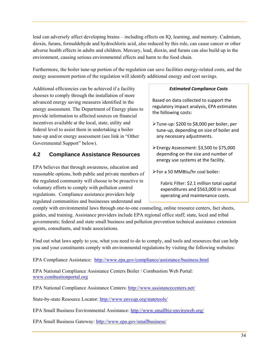lead can adversely affect developing brains – including effects on IQ, learning, and memory. Cadmium, dioxin, furans, formaldehyde and hydrochloric acid, also reduced by this rule, can cause cancer or other adverse health effects in adults and children. Mercury, lead, dioxin, and furans can also build up in the environment, causing serious environmental effects and harm to the food chain.

Furthermore, the boiler tune-up portion of the regulation can save facilities energy-related costs, and the energy assessment portion of the regulation will identify additional energy and cost savings.

Additional efficiencies can be achieved if a facility chooses to comply through the installation of more advanced energy saving measures identified in the energy assessment. The Department of Energy plans to provide information to affected sources on financial incentives available at the local, state, utility and federal level to assist them in undertaking a boiler tune-up and/or energy assessment (see link in "Other Governmental Support" below).

## **4.2 Compliance Assistance Resources**

EPA believes that through awareness, education and reasonable options, both public and private members of the regulated community will choose to be proactive in voluntary efforts to comply with pollution control regulations. Compliance assistance providers help regulated communities and businesses understand and

#### *Estimated Compliance Costs*

Based on data collected to support the regulatory impact analysis, EPA estimates the following costs:

- Tune‐up: \$200 to \$8,000 per boiler, per tune‐up, depending on size of boiler and any necessary adjustments.
- Energy Assessment: \$3,500 to \$75,000 depending on the size and number of energy use systems at the facility.
- For a 50 MMBtu/hr coal boiler:

Fabric Filter: \$2.1 million total capital expenditures and \$563,000 in annual operating and maintenance costs.

comply with environmental laws through one-to-one counseling, online resource centers, fact sheets, guides, and training. Assistance providers include EPA regional office staff; state, local and tribal governments; federal and state small business and pollution prevention technical assistance extension agents, consultants, and trade associations.

Find out what laws apply to you, what you need to do to comply, and tools and resources that can help you and your constituents comply with environmental regulations by visiting the following websites:

EPA Compliance Assistance: http://www.epa.gov/compliance/assistance/business.html

EPA National Compliance Assistance Centers Boiler / Combustion Web Portal: www.combustionportal.org

EPA National Compliance Assistance Centers: http://www.assistancecenters.net/

State-by-state Resource Locator: http://www.envcap.org/statetools/

EPA Small Business Environmental Assistance: http://www.smallbiz-enviroweb.org/

EPA Small Business Gateway: http://www.epa.gov/smallbusiness/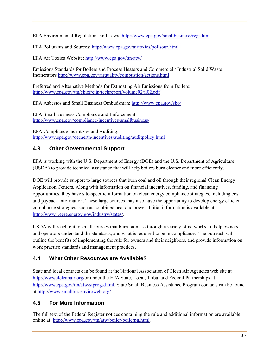EPA Environmental Regulations and Laws: http://www.epa.gov/smallbusiness/regs.htm

EPA Pollutants and Sources: http://www.epa.gov/airtoxics/pollsour.html

EPA Air Toxics Website: http://www.epa.gov/ttn/atw/

Emissions Standards for Boilers and Process Heaters and Commercial / Industrial Solid Waste Incinerators http://www.epa.gov/airquality/combustion/actions.html

Preferred and Alternative Methods for Estimating Air Emissions from Boilers: http://www.epa.gov/ttn/chief/eiip/techreport/volume02/ii02.pdf

EPA Asbestos and Small Business Ombudsman: http://www.epa.gov/sbo/

EPA Small Business Compliance and Enforcement: http://www.epa.gov/compliance/incentives/smallbusiness/

EPA Compliance Incentives and Auditing: http://www.epa.gov/oecaerth/incentives/auditing/auditpolicy.html

## **4.3 Other Governmental Support**

EPA is working with the U.S. Department of Energy (DOE) and the U.S. Department of Agriculture (USDA) to provide technical assistance that will help boilers burn cleaner and more efficiently.

DOE will provide support to large sources that burn coal and oil through their regional Clean Energy Application Centers. Along with information on financial incentives, funding, and financing opportunities, they have site-specific information on clean energy compliance strategies, including cost and payback information. These large sources may also have the opportunity to develop energy efficient compliance strategies, such as combined heat and power. Initial information is available at http://www1.eere.energy.gov/industry/states/.

USDA will reach out to small sources that burn biomass through a variety of networks, to help owners and operators understand the standards, and what is required to be in compliance. The outreach will outline the benefits of implementing the rule for owners and their neighbors, and provide information on work practice standards and management practices.

## **4.4 What Other Resources are Available?**

State and local contacts can be found at the National Association of Clean Air Agencies web site at http://www.4cleanair.org/or under the EPA State, Local, Tribal and Federal Partnerships at http://www.epa.gov/ttn/atw/stprogs.html. State Small Business Assistance Program contacts can be found at http://www.smallbiz-enviroweb.org/.

## **4.5 For More Information**

The full text of the Federal Register notices containing the rule and additional information are available online at: http://www.epa.gov/ttn/atw/boiler/boilerpg.html.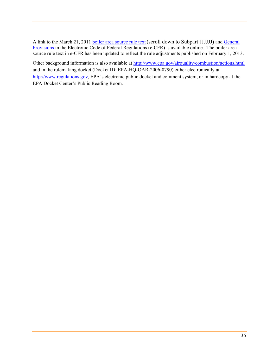A link to the March 21, 2011 boiler area source rule text (scroll down to Subpart JJJJJJ) and General Provisions in the Electronic Code of Federal Regulations (e-CFR) is available online. The boiler area source rule text in e-CFR has been updated to reflect the rule adjustments published on February 1, 2013.

Other background information is also available at http://www.epa.gov/airquality/combustion/actions.html and in the rulemaking docket (Docket ID: EPA-HQ-OAR-2006-0790) either electronically at http://www.regulations.gov, EPA's electronic public docket and comment system, or in hardcopy at the EPA Docket Center's Public Reading Room.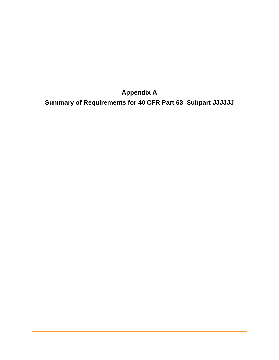**Appendix A** 

**Summary of Requirements for 40 CFR Part 63, Subpart JJJJJJ**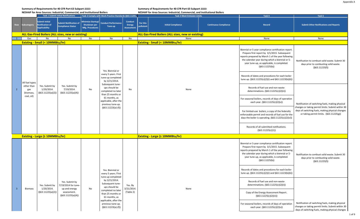**Summary of Requirements for 40 CFR Part 63 Subpart JJJJJJ:**

| NESHAP for Area Sources: Industrial, Commercial, and Institutional Boilers |                                                                |                                                                         |                                                           |                                                             |                                                                                               |                                               | NESHAP for Area Sources: Industrial, Commercial, and Institutional Boilers |                                                           |                                                                                       |                                                                                                                                                                                                                                                                                                                                                                                     |                                                                                                           |      |  |  |                                                                                                                                  |  |  |  |  |  |                                                                                                                                                                 |                                                                                             |
|----------------------------------------------------------------------------|----------------------------------------------------------------|-------------------------------------------------------------------------|-----------------------------------------------------------|-------------------------------------------------------------|-----------------------------------------------------------------------------------------------|-----------------------------------------------|----------------------------------------------------------------------------|-----------------------------------------------------------|---------------------------------------------------------------------------------------|-------------------------------------------------------------------------------------------------------------------------------------------------------------------------------------------------------------------------------------------------------------------------------------------------------------------------------------------------------------------------------------|-----------------------------------------------------------------------------------------------------------|------|--|--|----------------------------------------------------------------------------------------------------------------------------------|--|--|--|--|--|-----------------------------------------------------------------------------------------------------------------------------------------------------------------|---------------------------------------------------------------------------------------------|
|                                                                            |                                                                |                                                                         | <b>Task 1 Submit Initial Notifications</b>                |                                                             | Task 2 Comply with Work Practice Standards (§63.11201,                                        |                                               |                                                                            | <b>Task 3 Meet Emission Limits</b>                        |                                                                                       | Task 4                                                                                                                                                                                                                                                                                                                                                                              | Task 5                                                                                                    |      |  |  |                                                                                                                                  |  |  |  |  |  |                                                                                                                                                                 |                                                                                             |
| Row                                                                        | Subcategory                                                    | <b>Submit Initial</b><br><b>Notification of</b><br><b>Applicability</b> | <b>Submit Notification of</b><br><b>Compliance Status</b> | <b>Minimize Startup/</b><br>Shutdown per<br>Mfg. Procedures | <b>Conduct Performance</b><br>Tune-up                                                         | <b>Conduct</b><br><b>Energy</b><br>Assessment | For this<br>pollutant                                                      | <b>Initial Compliance</b>                                 | <b>Continuous Compliance</b>                                                          | Record                                                                                                                                                                                                                                                                                                                                                                              | <b>Submit Other Notifications and Reports</b>                                                             |      |  |  |                                                                                                                                  |  |  |  |  |  |                                                                                                                                                                 |                                                                                             |
|                                                                            |                                                                |                                                                         | <b>ALL Gas-Fired Boilers (ALL sizes, new or existing)</b> |                                                             |                                                                                               |                                               |                                                                            | <b>ALL Gas-Fired Boilers (ALL sizes, new or existing)</b> |                                                                                       |                                                                                                                                                                                                                                                                                                                                                                                     |                                                                                                           |      |  |  |                                                                                                                                  |  |  |  |  |  |                                                                                                                                                                 |                                                                                             |
|                                                                            | Gas                                                            | No                                                                      | No                                                        | No                                                          | No                                                                                            | No                                            |                                                                            | None                                                      |                                                                                       | None                                                                                                                                                                                                                                                                                                                                                                                | None                                                                                                      |      |  |  |                                                                                                                                  |  |  |  |  |  |                                                                                                                                                                 |                                                                                             |
|                                                                            |                                                                | <b>Existing - Small (&lt; 10MMBtu/hr)</b>                               |                                                           |                                                             |                                                                                               |                                               |                                                                            | <b>Existing - Small (&lt; 10MMBtu/hr)</b>                 |                                                                                       |                                                                                                                                                                                                                                                                                                                                                                                     |                                                                                                           |      |  |  |                                                                                                                                  |  |  |  |  |  |                                                                                                                                                                 |                                                                                             |
|                                                                            |                                                                |                                                                         |                                                           |                                                             | Yes. Biennial or<br>every 5 years. First<br>tune-up completed<br>by 3/21/2014.                |                                               |                                                                            |                                                           |                                                                                       | Biennial or 5-year compliance certification report.<br>Prepare first report by 3/1/2015. Subsequent<br>reports prepared by March 1 of the year following<br>the calendar year during which a biennial or 5-<br>year tune-up, as applicable, is completed.<br>(§63.11225(b))<br>Records of dates and procedures for each boiler<br>tune up. (§63.11225(c)(2)(i) and §63.11223(b)(6)) | Notification to combust solid waste. Submit 30<br>days prior to combusting solid waste.<br>(§63.11225(f)) |      |  |  |                                                                                                                                  |  |  |  |  |  |                                                                                                                                                                 |                                                                                             |
| $\overline{2}$                                                             | All fuel types<br>other than<br>gas<br>(biomass,<br>coal, oil) | Yes. Submit by<br>1/20/2014.<br>(§63.11225(a)(2))                       | Yes. Submit by<br>7/19/2014.<br>(§63.11225(a)(4))         | No                                                          | Subsequent tune-<br>ups should be<br>completed no later<br>than 25 months or<br>61 months, as |                                               | No                                                                         |                                                           |                                                                                       |                                                                                                                                                                                                                                                                                                                                                                                     |                                                                                                           | None |  |  | Records of fuel use and non-waste<br>determinations. (§63.11225(c)(2)(ii))<br>For seasonal boilers, records of days of operation |  |  |  |  |  |                                                                                                                                                                 |                                                                                             |
|                                                                            |                                                                |                                                                         |                                                           |                                                             | applicable, after the<br>previous tune-up.<br>$(§63.11223(a)-(f))$                            |                                               |                                                                            |                                                           | each year. (§63.11225(c)(2)(v))                                                       | Notification of switching fuels, making physical<br>changes or taking permit limits. Submit within 30                                                                                                                                                                                                                                                                               |                                                                                                           |      |  |  |                                                                                                                                  |  |  |  |  |  |                                                                                                                                                                 |                                                                                             |
|                                                                            |                                                                |                                                                         |                                                           |                                                             |                                                                                               |                                               |                                                                            |                                                           |                                                                                       |                                                                                                                                                                                                                                                                                                                                                                                     |                                                                                                           |      |  |  |                                                                                                                                  |  |  |  |  |  | For limited-use boilers, a copy of the federally<br>enforceable permit and records of fuel use for the<br>days the boiler is operating. $(§63.11225(c)(2)(vi))$ | days of switching fuels, making physical changes<br>or taking permit limits. (§63.11225(g)) |
|                                                                            |                                                                |                                                                         |                                                           |                                                             |                                                                                               |                                               |                                                                            |                                                           |                                                                                       | Records of all submitted notifications.<br>(§63.11225(c)(1))                                                                                                                                                                                                                                                                                                                        |                                                                                                           |      |  |  |                                                                                                                                  |  |  |  |  |  |                                                                                                                                                                 |                                                                                             |
|                                                                            |                                                                | <b>Existing - Large (≥ 10MMBtu/hr)</b>                                  |                                                           |                                                             |                                                                                               |                                               |                                                                            | <b>Existing - Large (≥ 10MMBtu/hr)</b>                    |                                                                                       |                                                                                                                                                                                                                                                                                                                                                                                     |                                                                                                           |      |  |  |                                                                                                                                  |  |  |  |  |  |                                                                                                                                                                 |                                                                                             |
|                                                                            |                                                                |                                                                         |                                                           |                                                             |                                                                                               |                                               |                                                                            |                                                           |                                                                                       | Biennial or 5-year compliance certification report.<br>Prepare first report by 3/1/2015. Subsequent<br>reports prepared by March 1 of the year following<br>the calendar year during which a biennial or 5-<br>year tune-up, as applicable, is completed.<br>(§63.11225(b))                                                                                                         | Notification to combust solid waste. Submit 30<br>days prior to combusting solid waste.<br>(§63.11225(f)) |      |  |  |                                                                                                                                  |  |  |  |  |  |                                                                                                                                                                 |                                                                                             |
|                                                                            |                                                                |                                                                         |                                                           |                                                             | Yes. Biennial or<br>every 5 years. First<br>tune-up completed                                 |                                               |                                                                            |                                                           |                                                                                       | Records of dates and procedures for each boiler<br>tune up. (§63.11225(c)(2)(i) and §63.11223(b)(6))                                                                                                                                                                                                                                                                                |                                                                                                           |      |  |  |                                                                                                                                  |  |  |  |  |  |                                                                                                                                                                 |                                                                                             |
| -3                                                                         | Biomass                                                        | Yes. Submit by<br>1/20/2014.                                            | Yes. Submit by<br>7/19/2014 for tune-<br>up and energy    | No                                                          | by 3/21/2014.<br>Subsequent tune-<br>ups should be                                            | Yes. By<br>3/21/2014.                         | None                                                                       |                                                           |                                                                                       | Records of fuel use and non-waste<br>determinations. (§63.11225(c)(2)(ii))                                                                                                                                                                                                                                                                                                          |                                                                                                           |      |  |  |                                                                                                                                  |  |  |  |  |  |                                                                                                                                                                 |                                                                                             |
|                                                                            |                                                                | (§63.11225(a)(2))                                                       | assessment.<br>(§63.11225(a)(4))                          |                                                             | completed no later<br>than 25 months or<br>61 months, as<br>applicable, after the             | (Table 2)                                     |                                                                            |                                                           | Copy of the Energy Assessment Report.<br>(§63.11225(c)(2)(iii))                       |                                                                                                                                                                                                                                                                                                                                                                                     |                                                                                                           |      |  |  |                                                                                                                                  |  |  |  |  |  |                                                                                                                                                                 |                                                                                             |
|                                                                            |                                                                |                                                                         |                                                           |                                                             | previous tune-up.<br>$(§63.11223(a)-(f))$                                                     |                                               |                                                                            |                                                           | For seasonal boilers, records of days of operation<br>each year. (§63.11225(c)(2)(v)) | Notification of switching fuels, making physical<br>changes or taking permit limits. Submit within 30<br>days of switching fuels, making physical changes                                                                                                                                                                                                                           |                                                                                                           |      |  |  |                                                                                                                                  |  |  |  |  |  |                                                                                                                                                                 |                                                                                             |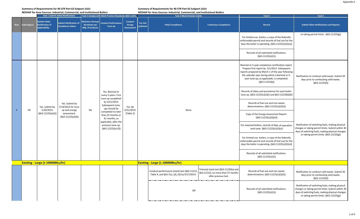**Summary of Requirements for 40 CFR Part 63 Subpart JJJJJJ:**

| NESHAP for Area Sources: Industrial, Commercial, and Institutional Boilers |  |
|----------------------------------------------------------------------------|--|
|                                                                            |  |

|  |  |  |  | NESHAP for Area Sources: Industrial, Commercial, and Institutional Boilers |
|--|--|--|--|----------------------------------------------------------------------------|

|                |            |                                                                         | <b>Task 1 Submit Initial Notifications</b>                |                                                                    | Task 2 Comply with Work Practice Standards (§63.11201,                            |                                               |                       | <b>Task 3 Meet Emission Limits</b>                                                             |                                                                                                      | Task 4                                                                                                                                                                                                                                                                      | Task 5                                                                                                                                                                                               |
|----------------|------------|-------------------------------------------------------------------------|-----------------------------------------------------------|--------------------------------------------------------------------|-----------------------------------------------------------------------------------|-----------------------------------------------|-----------------------|------------------------------------------------------------------------------------------------|------------------------------------------------------------------------------------------------------|-----------------------------------------------------------------------------------------------------------------------------------------------------------------------------------------------------------------------------------------------------------------------------|------------------------------------------------------------------------------------------------------------------------------------------------------------------------------------------------------|
| Row            | ubcategory | <b>Submit Initial</b><br><b>Notification of</b><br><b>Applicability</b> | <b>Submit Notification of</b><br><b>Compliance Status</b> | <b>Minimize Startup/</b><br>Shutdown per<br><b>Mfg. Procedures</b> | <b>Conduct Performance</b><br>Tune-up                                             | <b>Conduct</b><br>Energy<br><b>Assessment</b> | For this<br>pollutant | <b>Initial Compliance</b>                                                                      | <b>Continuous Compliance</b>                                                                         | Record                                                                                                                                                                                                                                                                      | <b>Submit Other Notifications and Reports</b>                                                                                                                                                        |
|                |            |                                                                         |                                                           |                                                                    |                                                                                   |                                               |                       |                                                                                                |                                                                                                      | For limited-use boilers, a copy of the federally<br>enforceable permit and records of fuel use for the<br>days the boiler is operating. (§63.11225(c)(2)(vi))                                                                                                               | or taking permit limits. (§63.11225(g))                                                                                                                                                              |
|                |            |                                                                         |                                                           |                                                                    |                                                                                   |                                               |                       |                                                                                                |                                                                                                      | Records of all submitted notifications.<br>(§63.11225(c)(1))                                                                                                                                                                                                                |                                                                                                                                                                                                      |
|                |            |                                                                         |                                                           |                                                                    |                                                                                   |                                               |                       |                                                                                                |                                                                                                      | Biennial or 5-year compliance certification report.<br>Prepare first report by 3/1/2015. Subsequent<br>reports prepared by March 1 of the year following<br>the calendar year during which a biennial or 5-<br>year tune-up, as applicable, is completed.<br>(§63.11225(b)) | Notification to combust solid waste. Submit 30<br>days prior to combusting solid waste.<br>(§63.11225(f))                                                                                            |
|                |            |                                                                         |                                                           |                                                                    | Yes. Biennial or<br>every 5 years. First<br>tune-up completed                     |                                               |                       |                                                                                                |                                                                                                      | Records of dates and procedures for each boiler<br>tune up. (§63.11225(c)(2)(i) and §63.11223(b)(6))                                                                                                                                                                        |                                                                                                                                                                                                      |
| $\overline{4}$ | Oil        | Yes. Submit by<br>1/20/2014.                                            | Yes. Submit by<br>7/19/2014 for tune-<br>up and energy    | No                                                                 | by 3/21/2014.<br>Subsequent tune-<br>ups should be                                | Yes. By<br>3/21/2014.                         |                       | None                                                                                           |                                                                                                      | Records of fuel use and non-waste<br>determinations. (§63.11225(c)(2)(ii))                                                                                                                                                                                                  |                                                                                                                                                                                                      |
|                |            | (§63.11225(a)(2))                                                       | assessment.<br>(§63.11225(a)(4))                          |                                                                    | completed no later<br>than 25 months or<br>61 months, as<br>applicable, after the | (Table 2)                                     |                       |                                                                                                |                                                                                                      | Copy of the Energy Assessment Report.<br>(§63.11225(c)(2)(iii))                                                                                                                                                                                                             |                                                                                                                                                                                                      |
|                |            |                                                                         |                                                           |                                                                    | previous tune-up.<br>$(§63.11223(a)-(f))$                                         |                                               |                       |                                                                                                |                                                                                                      | For seasonal boilers, records of days of operation<br>each year. (§63.11225(c)(2)(v))                                                                                                                                                                                       | Notification of switching fuels, making physical<br>changes or taking permit limits. Submit within 30<br>days of switching fuels, making physical changes                                            |
|                |            |                                                                         |                                                           |                                                                    |                                                                                   |                                               |                       |                                                                                                |                                                                                                      | For limited-use boilers, a copy of the federally<br>enforceable permit and records of fuel use for the<br>days the boiler is operating. (§63.11225(c)(2)(vi))                                                                                                               | or taking permit limits. (§63.11225(g))                                                                                                                                                              |
|                |            |                                                                         |                                                           |                                                                    |                                                                                   |                                               |                       |                                                                                                |                                                                                                      | Records of all submitted notifications.<br>(§63.11225(c)(1))                                                                                                                                                                                                                |                                                                                                                                                                                                      |
|                |            | <b>Existing - Large (≥ 10MMBtu/hr)</b>                                  |                                                           |                                                                    |                                                                                   |                                               |                       | <b>Existing - Large (≥ 10MMBtu/hr)</b>                                                         |                                                                                                      |                                                                                                                                                                                                                                                                             |                                                                                                                                                                                                      |
|                |            |                                                                         |                                                           |                                                                    |                                                                                   |                                               |                       | Conduct performance (stack) test (§63.11212,<br>Table 4, and §63.7(c), (d), (f)) by 9/17/2014. | Triennial stack test (§63.11220(a) and<br>§63.11212), no more than 37 months<br>after previous test. | Records of fuel use and non-waste<br>determinations. (§63.11225(c)(2)(ii))                                                                                                                                                                                                  | Notification to combust solid waste. Submit 30<br>days prior to combusting solid waste.<br>(§63.11225(f))                                                                                            |
|                |            |                                                                         |                                                           |                                                                    |                                                                                   |                                               |                       | OR                                                                                             |                                                                                                      | Records of all submitted notifications.<br>(§63.11225(c)(1))                                                                                                                                                                                                                | Notification of switching fuels, making physical<br>changes or taking permit limits. Submit within 30<br>days of switching fuels, making physical changes<br>or taking permit limits. (§63.11225(g)) |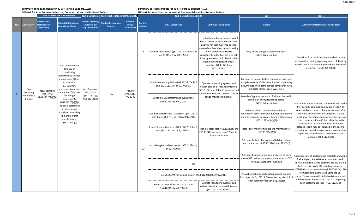#### **Summary of Requirements for 40 CFR Part 63 Subpart JJJJJJ:**

**NESHAP for Area Sources: Industrial, Commercial, and Institutional Boilers**

|            |                         |                                                                  | <b>Task 1 Submit Initial Notifications</b>                                                                                 |                                                                    | Task 2 Comply with Work Practice Standards (§63.11201, |                                                      |                       | <b>Task 3 Meet Emission Limits</b>                                                             |                                                                                                                                                                                                                                                                                                                                                            | Task 4                                                                                                                                                                                      | Task 5                                                                                                                                                                                                                                                    |
|------------|-------------------------|------------------------------------------------------------------|----------------------------------------------------------------------------------------------------------------------------|--------------------------------------------------------------------|--------------------------------------------------------|------------------------------------------------------|-----------------------|------------------------------------------------------------------------------------------------|------------------------------------------------------------------------------------------------------------------------------------------------------------------------------------------------------------------------------------------------------------------------------------------------------------------------------------------------------------|---------------------------------------------------------------------------------------------------------------------------------------------------------------------------------------------|-----------------------------------------------------------------------------------------------------------------------------------------------------------------------------------------------------------------------------------------------------------|
| <b>Row</b> | iubcategory             | Submit Initial<br><b>Notification of</b><br><b>Applicability</b> | <b>Submit Notification of</b><br><b>Compliance Status</b>                                                                  | <b>Minimize Startup/</b><br><b>Shutdown per</b><br>Mfg. Procedures | <b>Conduct Performance</b><br>Tune-up                  | <b>Conduct</b><br><b>Energy</b><br><b>Assessment</b> | For this<br>pollutant | <b>Initial Compliance</b>                                                                      | <b>Continuous Compliance</b>                                                                                                                                                                                                                                                                                                                               | Record                                                                                                                                                                                      | <b>Submit Other Notifications and Reports</b>                                                                                                                                                                                                             |
|            |                         |                                                                  | Yes. Submit within<br>60 days of<br>conducting                                                                             |                                                                    |                                                        |                                                      | Hg                    | Conduct fuel analysis (§63.11213, Table 5 and<br>§63.11211(c)) by 9/17/2014.                   | If Hg limit compliance demonstrated<br>based on fuel analysis, conduct fuel<br>analysis for each fuel type burned<br>quarterly unless when demonstrating<br>initial compliance, the Hg<br>constituents in the fuel are ≤ to half<br>of the Hg emission limit. Those boilers<br>need not conduct further fuel<br>sampling. (§63.11213 and<br>\$63.11220(c)] | Copy of the Energy Assessment Report.<br>(§63.11225(c)(2)(iii))                                                                                                                             | Deviations from emission limits and corrective<br>actions taken during reporting period. Submit by<br>March 15 of each calendar year where deviations<br>occurred. (§63.11225 (b)(3))                                                                     |
|            | Coal<br>(excluding      | Yes. Submit by                                                   | performance test for<br>mercury and CO, or<br>no later than<br>11/16/2014,<br>whichever is earlier.<br>Submit by 7/19/2014 | Yes. Beginning<br>3/21/2014.                                       |                                                        | Yes. By                                              |                       | Establish operating limits (§63.11222, Table 6<br>and §63.11211(b)) by 9/17/2014.              | Operate monitoring systems and<br>collect data at all required intervals<br>(§63.11221 and Table 7) including fue<br>mercury content and relevant control                                                                                                                                                                                                  | For sources demonstrating compliance with fuel<br>analysis, records of all calculation and supporting<br>documentation to demonstrate compliance with<br>emission limits. (§63.11225(c)(3)) |                                                                                                                                                                                                                                                           |
| -5         | limited-use<br>boilers) | 1/20/2014.<br>(§63.11225(a)(2))                                  | for energy<br>assessment.<br>(§63.11225(a)(4))<br>Include a statement                                                      | (§63.11223(g),<br>\$63.11214(d)]                                   | No                                                     | 3/21/2014.<br>(Table 2)                              |                       | Conduct CMS performance evaluations<br>(§63.11224) by 9/17/2014.                               | device monitoring systems.                                                                                                                                                                                                                                                                                                                                 | Records of type and amount of all fuels burned in<br>each boiler during reporting period.<br>(§63.11225(c)(2)(iv))                                                                          | Affirmative defense report shall be included in the<br>first periodic compliance, deviation report or                                                                                                                                                     |
|            |                         |                                                                  | on Startup and<br>Shutdown according<br>to manufacturer<br>specifications.<br>(§63.11223(g))                               |                                                                    |                                                        |                                                      |                       | Conduct performance (stack) test (§63.11212,<br>Table 4, and §63.7(c), (d), (f)) by 9/17/2014. |                                                                                                                                                                                                                                                                                                                                                            | Records of each boiler or control device<br>malfunction occurrence and duration and actions<br>taken to minimize emissions during malfunctions.<br>$(§63.11225(c)(4)-(5))$                  | excess emission report otherwise required after<br>the initial occurence of the violation. If such<br>compliance, deviation report or excess emission<br>report is due less than 45 days after the initial<br>occurence of the violation, the affirmative |
|            |                         |                                                                  |                                                                                                                            |                                                                    |                                                        |                                                      |                       | Establish operating limits (§63.11222, Table 6<br>and §63.11211(b)) by 9/17/2014.              | Triennial stack test (§63.11220(a) and<br>§63.11212), no more than 37 months<br>after previous test.                                                                                                                                                                                                                                                       | Records of monitoring data and maintenance.<br>(§63.11225(c)(6))                                                                                                                            | defense report may be included in the second<br>compliance, deviation report or excess emission<br>report due after the initial occurence of the                                                                                                          |
|            |                         |                                                                  |                                                                                                                            |                                                                    |                                                        |                                                      | CO                    | Install oxygen analyzer system (§63.11224(a))<br>by 9/17/2014.                                 |                                                                                                                                                                                                                                                                                                                                                            | Site-specific test plan prepared 60 days before<br>each stack test. (§63.11212(a), and §63.7(c))                                                                                            | violation. (§63.11226(b))                                                                                                                                                                                                                                 |
|            |                         |                                                                  |                                                                                                                            |                                                                    |                                                        |                                                      |                       |                                                                                                |                                                                                                                                                                                                                                                                                                                                                            | Site-specific monitoring plan prepared 60 days<br>before CMS performance evaluation for each CMS.                                                                                           | Submit results of performance test data, including<br>fuel analyses, and relative accuracy test audit                                                                                                                                                     |
|            |                         |                                                                  |                                                                                                                            |                                                                    |                                                        |                                                      |                       | OR                                                                                             | (§63.11205(c)(1) through (3))                                                                                                                                                                                                                                                                                                                              |                                                                                                                                                                                             | (RATA) data from CEMS performance evaluation<br>tests to EPA's WebFIRE data base using the<br>(CEDRI) that is accessed through EPA's (CDX). File                                                                                                          |
|            |                         |                                                                  |                                                                                                                            |                                                                    |                                                        |                                                      |                       | Install a CEMS for CO and oxygen (§63.11224(a)) by 9/17/2014.                                  |                                                                                                                                                                                                                                                                                                                                                            | Annual compliance certification report. Prepare<br>first report by 3/1/2015. Thereafter, by March 1 of<br>each calendar year. (§63.11225(b))                                                | format must be generated using the ERT<br><http: chief="" ert="" index.html="" ttn="" www.epa.gov=""><br/>Submittal must be within 60 days of completing</http:>                                                                                          |
|            |                         |                                                                  |                                                                                                                            |                                                                    |                                                        |                                                      |                       | Conduct CMS performance evaluations<br>(§63.11224) by 9/17/2014.                               | Operate monitoring systems and<br>collect data at all required intervals<br>(§63.11221 and Table 7).                                                                                                                                                                                                                                                       |                                                                                                                                                                                             | each performance test. (§63. 11225(e))                                                                                                                                                                                                                    |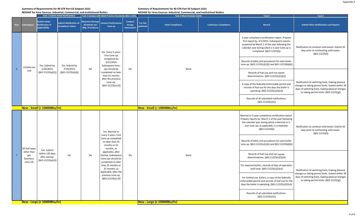**NESHAP for Area Sources: Industrial, Commercial, and Institutional Boilers**

#### **Summary of Requirements for 40 CFR Part 63 Subpart JJJJJJ:**

|                 |                                |                                                                         | <b>Task 1 Submit Initial Notifications</b>                |                                                             | Task 2 Comply with Work Practice Standards (§63.11201,                                      |                                                      |                       | <b>Task 3 Meet Emission Limits</b> |                              | Task 4                                                                                                                                                                                                                          | Task 5                                                                                                                                                                                               |
|-----------------|--------------------------------|-------------------------------------------------------------------------|-----------------------------------------------------------|-------------------------------------------------------------|---------------------------------------------------------------------------------------------|------------------------------------------------------|-----------------------|------------------------------------|------------------------------|---------------------------------------------------------------------------------------------------------------------------------------------------------------------------------------------------------------------------------|------------------------------------------------------------------------------------------------------------------------------------------------------------------------------------------------------|
| <b>Row</b>      | Subcategory                    | <b>Submit Initial</b><br><b>Notification of</b><br><b>Applicability</b> | <b>Submit Notification of</b><br><b>Compliance Status</b> | Minimize Startup/<br><b>Shutdown per</b><br>Mfg. Procedures | <b>Conduct Performance</b><br>Tune-up                                                       | <b>Conduct</b><br><b>Energy</b><br><b>Assessment</b> | For this<br>pollutant | <b>Initial Compliance</b>          | <b>Continuous Compliance</b> | <b>Record</b>                                                                                                                                                                                                                   | <b>Submit Other Notifications and Reports</b>                                                                                                                                                        |
|                 |                                |                                                                         |                                                           |                                                             | Yes. Every 5 years.<br>First tune-up                                                        |                                                      |                       |                                    |                              | 5-year compliance certification report. Prepare<br>first report by 3/1/2015. Subsequent reports<br>prepared by March 1 of the year following the<br>calendar year during which a 5-year tune-up is<br>completed. (§63.11225(b)) | Notification to combust solid waste. Submit 30<br>days prior to combusting solid waste.<br>(§63.11225(f))                                                                                            |
| $6\overline{6}$ | Limited-use                    | Yes. Submit by<br>1/20/2014.                                            | Yes. Submit by<br>7/19/2014.                              | No                                                          | completed by<br>3/21/2014.<br>Subsequent tune-<br>ups should be                             |                                                      |                       |                                    |                              | Records of dates and procedures for each boiler<br>tune up. (§63.11225(c)(2)(i) and §63.11223(b)(6))                                                                                                                            |                                                                                                                                                                                                      |
|                 | coal                           | (§63.11225(a)(2))                                                       | (§63.11225(a)(4))                                         |                                                             | completed no later<br>than 61 months<br>after the previous                                  | No                                                   |                       | None                               |                              | Records of fuel use and non-waste<br>determinations. (§63.11225(c)(2)(ii))                                                                                                                                                      |                                                                                                                                                                                                      |
|                 |                                |                                                                         |                                                           |                                                             | tune-up.<br>$(§63.11223(a)-(f))$                                                            |                                                      |                       |                                    |                              | A copy of the federally enforceable permit and<br>records of fuel use for the days the boiler is<br>operating. (§63.11225(c)(2)(vi))                                                                                            | Notification of switching fuels, making physical<br>changes or taking permit limits. Submit within 30<br>days of switching fuels, making physical changes<br>or taking permit limits. (§63.11225(g)) |
|                 |                                |                                                                         |                                                           |                                                             |                                                                                             |                                                      |                       |                                    |                              | Records of all submitted notifications.<br>(§63.11225(c)(1))                                                                                                                                                                    |                                                                                                                                                                                                      |
|                 |                                | New - Small (< 10MMBtu/hr)                                              |                                                           |                                                             |                                                                                             |                                                      |                       | New - Small (< 10MMBtu/hr)         |                              |                                                                                                                                                                                                                                 |                                                                                                                                                                                                      |
|                 |                                |                                                                         |                                                           |                                                             | Yes. Biennial or                                                                            |                                                      |                       |                                    |                              | Biennial or 5-year compliance certification report<br>Prepare reports by March 1 of the year following<br>the calendar year during which a biennial or 5-<br>year tune-up, as applicable, is completed.<br>(§63.11225(b))       | Notification to combust solid waste. Submit 30<br>days prior to combusting solid waste.<br>(§63.11225(f))                                                                                            |
|                 | All fuel types                 |                                                                         |                                                           |                                                             | every 5 years. First<br>tune-up completed<br>no later than 25<br>months or 61<br>months, as |                                                      |                       |                                    |                              | Records of dates and procedures for each boiler<br>tune up. (§63.11225(c)(2)(i) and §63.11223(b)(6))                                                                                                                            |                                                                                                                                                                                                      |
| $7\overline{ }$ | other than<br>gas<br>(biomass, | Yes. Submit<br>within 120 days<br>after startup.<br>(§63.11225(a)(2))   | No                                                        | No                                                          | applicable, after<br>startup. Subsequent<br>tune-ups should be<br>completed no later        | No                                                   |                       | None                               |                              | Records of fuel use and non-waste<br>determinations. (§63.11225(c)(2)(ii))                                                                                                                                                      |                                                                                                                                                                                                      |
|                 | coal, oil)                     |                                                                         |                                                           |                                                             | than 25 months or<br>61 months, as<br>applicable, after the                                 |                                                      |                       |                                    |                              | For seasonal boilers, records of days of operation<br>each year. (§63.11225(c)(2)(v))                                                                                                                                           | Notification of switching fuels, making physical                                                                                                                                                     |
|                 |                                |                                                                         |                                                           |                                                             | previous tune-up.<br>$(§63.11223(a)-(f))$                                                   |                                                      |                       |                                    |                              | For limited-use boilers, a copy of the federally<br>enforceable permit and records of fuel use for the<br>days the boiler is operating. (§63.11225(c)(2)(vi))                                                                   | changes or taking permit limits. Submit within 30<br>days of switching fuels, making physical changes<br>or taking permit limits. (§63.11225(g))                                                     |
|                 |                                |                                                                         |                                                           |                                                             |                                                                                             |                                                      |                       |                                    |                              | Records of all submitted notifications.<br>(§63.11225(c)(1))                                                                                                                                                                    |                                                                                                                                                                                                      |
|                 |                                | New - Large (≥ 10MMBtu/hr)                                              |                                                           |                                                             |                                                                                             |                                                      |                       | New - Large (≥ 10MMBtu/hr)         |                              |                                                                                                                                                                                                                                 |                                                                                                                                                                                                      |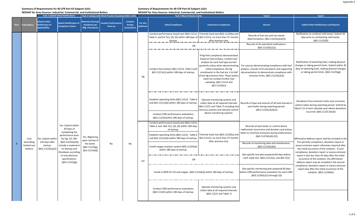#### **Summary of Requirements for 40 CFR Part 63 Subpart JJJJJJ:**

**NESHAP for Area Sources: Industrial, Commercial, and Institutional Boilers**

|     |                         | , כטווסט וואז וסו אופט איז האז וואסט וואסט וואסט וואסט וואסט וואסט וואסט וואסט וואסט וואסט וואסט וואסט וואסט ו<br><b>Task 1 Submit Initial Notifications</b><br>Task 2 Comply with Work Practice Standards (§63.11201, |                                                                                              |                                                                    | <b>Task 3 Meet Emission Limits</b>    |                                               |                       | Task 4                                                                                                                                                                                              | Task 5                                                                                                                                                                                                                                                                                                                                                     |                                                                                                                                                                                             |                                                                                                                                                                                                      |
|-----|-------------------------|------------------------------------------------------------------------------------------------------------------------------------------------------------------------------------------------------------------------|----------------------------------------------------------------------------------------------|--------------------------------------------------------------------|---------------------------------------|-----------------------------------------------|-----------------------|-----------------------------------------------------------------------------------------------------------------------------------------------------------------------------------------------------|------------------------------------------------------------------------------------------------------------------------------------------------------------------------------------------------------------------------------------------------------------------------------------------------------------------------------------------------------------|---------------------------------------------------------------------------------------------------------------------------------------------------------------------------------------------|------------------------------------------------------------------------------------------------------------------------------------------------------------------------------------------------------|
| Row | Subcategory             | <b>Submit Initial</b><br><b>Notification of</b><br><b>Applicability</b>                                                                                                                                                | <b>Submit Notification of</b><br><b>Compliance Status</b>                                    | <b>Minimize Startup/</b><br><b>Shutdown per</b><br>Mfg. Procedures | <b>Conduct Performance</b><br>Tune-up | <b>Conduct</b><br>Energy<br><b>Assessment</b> | For this<br>pollutant | <b>Initial Compliance</b>                                                                                                                                                                           | <b>Continuous Compliance</b>                                                                                                                                                                                                                                                                                                                               | Record                                                                                                                                                                                      | <b>Submit Other Notifications and Reports</b>                                                                                                                                                        |
|     |                         |                                                                                                                                                                                                                        |                                                                                              |                                                                    |                                       |                                               |                       | Conduct performance (stack) test (§63.11212, Triennial stack test (§63.11220(a) and<br>Table 4, and 63.7(c), (d), (f)) within 180 days of $\frac{63.11212}{1}$ , no more than 37 months<br>startup. | after previous test.                                                                                                                                                                                                                                                                                                                                       | Records of fuel use and non-waste<br>determinations. (§63.11225(c)(2)(ii))                                                                                                                  | Notification to combust solid waste. Submit 30<br>days prior to combusting solid waste.<br>(§63.11225(f))                                                                                            |
|     |                         |                                                                                                                                                                                                                        |                                                                                              |                                                                    |                                       |                                               |                       | OR                                                                                                                                                                                                  |                                                                                                                                                                                                                                                                                                                                                            | Records of all submitted notifications.<br>(§63.11225(c)(1))                                                                                                                                |                                                                                                                                                                                                      |
|     |                         |                                                                                                                                                                                                                        |                                                                                              |                                                                    |                                       |                                               | Hg                    | Conduct fuel analysis (§63.11213, Table 5 and<br>§63.11211(c)) within 180 days of startup.                                                                                                          | If Hg limit compliance demonstrated<br>based on fuel analysis, conduct fuel<br>analysis for each fuel type burned<br>quarterly unless when demonstrating<br>initial compliance, the Hg<br>constituents in the fuel are ≤ to half<br>of the Hg emission limit. Those boilers<br>need not conduct further fuel<br>sampling. (§63.11213 and<br>\$63.11220(c)] | For sources demonstrating compliance with fuel<br>analysis, records of all calculation and supporting<br>documentation to demonstrate compliance with<br>emission limits. (§63.11225(c)(3)) | Notification of switching fuels, making physical<br>changes or taking permit limits. Submit within 30<br>days of switching fuels, making physical changes<br>or taking permit limits. (§63.11225(g)) |
|     |                         |                                                                                                                                                                                                                        |                                                                                              |                                                                    |                                       |                                               |                       | Establish operating limits (§63.11222, Table 6<br>and §63.11211(b)) within 180 days of startup.                                                                                                     | Operate monitoring systems and<br>collect data at all required intervals<br>(§63.11221 and Table 7) including fuel<br>mercury content and relevant control<br>device monitoring systems.                                                                                                                                                                   | Records of type and amount of all fuels burned in<br>each boiler during reporting period.<br>(§63.11225(c)(2)(iv))                                                                          | Deviations from emission limits and corrective<br>actions taken during reporting period. Submit by<br>March 15 of each calendar year where deviations<br>occurred. (§63.11225 (b)(3))                |
|     |                         |                                                                                                                                                                                                                        |                                                                                              |                                                                    |                                       |                                               |                       | Conduct CMS performance evaluations<br>(§63.11224) within 180 days of startup.                                                                                                                      |                                                                                                                                                                                                                                                                                                                                                            |                                                                                                                                                                                             |                                                                                                                                                                                                      |
|     |                         |                                                                                                                                                                                                                        | Yes. Submit within<br>60 days of                                                             |                                                                    |                                       |                                               |                       | Conduct performance (stack) test (§63.11212,<br>Table 4, and §63.7(c), (d), (f)) within 180 days<br>of startup.                                                                                     |                                                                                                                                                                                                                                                                                                                                                            | Records of each boiler or control device<br>malfunction occurrence and duration and actions                                                                                                 |                                                                                                                                                                                                      |
|     | Coal<br>(excluding      | Yes. Submit within<br>120 days after                                                                                                                                                                                   | completing the<br>performance tests<br>for Hg, CO, PM.<br>(§63.11225(a)(4))                  | Yes. Beginning<br>upon startup of                                  |                                       |                                               |                       | Establish operating limits (§63.11222, Table 6   Triennial stack test (§63.11220(a) and<br>and §63.11211(b)) within 180 days of startup.                                                            | §63.11212), no more than 37 months<br>after previous test.                                                                                                                                                                                                                                                                                                 | taken to minimize emissions during malfunctions.<br>$(§63.11225(c)(4)-(5))$                                                                                                                 | Affirmative defense report shall be included in the<br>first periodic compliance, deviation report or                                                                                                |
| 8   | limited-use<br>boilers) | startup.<br>(§63.11225(a)(2))                                                                                                                                                                                          | Include a statement                                                                          | the boiler.<br>(§63.11223(g),                                      | No                                    | No                                            |                       | Install oxygen analyzer system (§63.11224(a))                                                                                                                                                       |                                                                                                                                                                                                                                                                                                                                                            | Records of monitoring data and maintenance.<br>(§63.11225(c)(6))                                                                                                                            | excess emission report otherwise required after<br>the initial occurence of the violation. If such                                                                                                   |
|     |                         |                                                                                                                                                                                                                        | on Startup and<br>Shutdown according<br>to manufacturer<br>specifications.<br>(§63.11223(g)) | \$63.11214(d)]                                                     |                                       |                                               | CO                    | within 180 days of startup.<br>OR                                                                                                                                                                   |                                                                                                                                                                                                                                                                                                                                                            | Site-specific test plan prepared 60 days before<br>each stack test. (§63.11212(a), and §63.7(c))                                                                                            | compliance, deviation report or excess emission<br>report is due less than 45 days after the initial<br>occurence of the violation, the affirmative<br>defense report may be included in the second  |
|     |                         |                                                                                                                                                                                                                        |                                                                                              |                                                                    |                                       |                                               |                       | Install a CEMS for CO and oxygen (§63.11224(a)) within 180 days of startup.                                                                                                                         |                                                                                                                                                                                                                                                                                                                                                            | Site-specific monitoring plan prepared 60 days<br>before CMS performance evaluation for each CMS.<br>(§63.11205(c)(1) through (3))                                                          | compliance, deviation report or excess emission<br>report due after the initial occurence of the<br>violation. (§63.11226(b))                                                                        |
|     |                         |                                                                                                                                                                                                                        |                                                                                              |                                                                    |                                       |                                               |                       | Conduct CMS performance evaluations<br>(§63.11224) within 180 days of startup.                                                                                                                      | Operate monitoring systems and<br>collect data at all required intervals.<br>(§63.11221 and Table 7)                                                                                                                                                                                                                                                       |                                                                                                                                                                                             |                                                                                                                                                                                                      |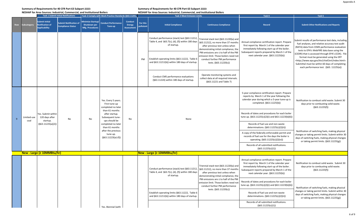#### **Summary of Requirements for 40 CFR Part 63 Subpart JJJJJJ:**

| NESHAP for Area Sources: Industrial, Commercial, and Institutional Boilers |  |  |
|----------------------------------------------------------------------------|--|--|

|            |                     |                                                                         | <b>Task 1 Submit Initial Notifications</b>                |                                                                    | Task 2 Comply with Work Practice Standards (§63.11201,                |                                                      |                       | <b>Task 3 Meet Emission Limits</b>                                                                              |                                                                                                                                                          | Task 4                                                                                                                                                                                                                                  | Task 5                                                                                                                                                                                                                                                            |
|------------|---------------------|-------------------------------------------------------------------------|-----------------------------------------------------------|--------------------------------------------------------------------|-----------------------------------------------------------------------|------------------------------------------------------|-----------------------|-----------------------------------------------------------------------------------------------------------------|----------------------------------------------------------------------------------------------------------------------------------------------------------|-----------------------------------------------------------------------------------------------------------------------------------------------------------------------------------------------------------------------------------------|-------------------------------------------------------------------------------------------------------------------------------------------------------------------------------------------------------------------------------------------------------------------|
| <b>Row</b> | ubcategory          | <b>Submit Initial</b><br><b>Notification of</b><br><b>Applicability</b> | <b>Submit Notification of</b><br><b>Compliance Status</b> | Minimize Startup/<br><b>Shutdown per</b><br><b>Mfg. Procedures</b> | <b>Conduct Performance</b><br>Tune-up                                 | <b>Conduct</b><br><b>Energy</b><br><b>Assessment</b> | For this<br>pollutant | <b>Initial Compliance</b>                                                                                       | <b>Continuous Compliance</b>                                                                                                                             | Record                                                                                                                                                                                                                                  | <b>Submit Other Notifications and Reports</b>                                                                                                                                                                                                                     |
|            |                     |                                                                         |                                                           |                                                                    |                                                                       |                                                      |                       | Conduct performance (stack) test (§63.11212,<br>Table 4, and §63.7(c), (d), (f)) within 180 days<br>of startup. | Triennial stack test (§63.11220(a) and<br>§63.11212), no more than 37 months<br>after previous test unless when<br>demonstrating initial compliance, the | Annual compliance certification report. Prepare<br>first report by March 1 of the calendar year<br>immediately following start-up of the boiler.                                                                                        | Submit results of performance test data, including<br>fuel analyses, and relative accuracy test audit<br>(RATA) data from CEMS performance evaluation<br>tests to EPA's WebFIRE data base using the                                                               |
|            |                     |                                                                         |                                                           |                                                                    |                                                                       |                                                      | PM                    | Establish operating limits (§63.11222, Table 6<br>and §63.11211(b)) within 180 days of startup.                 | PM emissions are ≤ to half of the PM<br>emission limit. Those boilers need not<br>conduct further PM performance<br>tests. (§63.11220(c))                | Subsequent reports prepared by March 1 of the<br>next calendar year. (§63.11225(b))                                                                                                                                                     | (CEDRI) that is accessed through EPA's (CDX). File<br>format must be generated using the ERT<br><http: chief="" ert="" index.html="" ttn="" www.epa.gov=""><br/>Submittal must be within 60 days of completing<br/>each performance test. (§63. 11225(e))</http:> |
|            |                     |                                                                         |                                                           |                                                                    |                                                                       |                                                      |                       | Conduct CMS performance evaluations<br>(§63.11224) within 180 days of startup.                                  | Operate monitoring systems and<br>collect data at all required intervals.<br>(§63.11221 and Table 7)                                                     |                                                                                                                                                                                                                                         |                                                                                                                                                                                                                                                                   |
|            |                     |                                                                         |                                                           |                                                                    | Yes. Every 5 years.<br>First tune-up<br>completed no later            |                                                      |                       |                                                                                                                 |                                                                                                                                                          | 5-year compliance certification report. Prepare<br>reports by March 1 of the year following the<br>calendar year during which a 5-year tune-up is<br>completed. (§63.11225(b))                                                          | Notification to combust solid waste. Submit 30<br>days prior to combusting solid waste.<br>(§63.11225(f))                                                                                                                                                         |
| -9         | Limited-use<br>coal | Yes. Submit within<br>120 days after<br>startup.                        | No.                                                       | No                                                                 | than 61 months<br>after startup.<br>Subsequent tune-<br>ups should be | No                                                   |                       | None                                                                                                            |                                                                                                                                                          | Records of dates and procedures for each boiler<br>tune up. (§63.11225(c)(2)(i) and §63.11223(b)(6))                                                                                                                                    |                                                                                                                                                                                                                                                                   |
|            |                     | (§63.11225(a)(2))                                                       |                                                           |                                                                    | completed no later<br>than 61 months                                  |                                                      |                       |                                                                                                                 |                                                                                                                                                          | Records of fuel use and non-waste<br>determinations. $(§63.11225(c)(2)(ii))$                                                                                                                                                            |                                                                                                                                                                                                                                                                   |
|            |                     |                                                                         |                                                           |                                                                    | after the previous<br>tune-up.<br>$(§63.11223(a)-(f))$                |                                                      |                       |                                                                                                                 |                                                                                                                                                          | A copy of the federally enforceable permit and<br>records of fuel use for the days the boiler is<br>operating. (§63.11225(c)(2)(vi))                                                                                                    | Notification of switching fuels, making physical<br>changes or taking permit limits. Submit within 30<br>days of switching fuels, making physical changes<br>or taking permit limits. (§63.11225(g))                                                              |
|            |                     |                                                                         |                                                           |                                                                    |                                                                       |                                                      |                       |                                                                                                                 |                                                                                                                                                          | Records of all submitted notifications.<br>(§63.11225(c)(1))                                                                                                                                                                            |                                                                                                                                                                                                                                                                   |
|            |                     | New - Large ( $\geq$ 10MMBtu/hr)                                        |                                                           |                                                                    |                                                                       |                                                      |                       | New - Large (≥ 10MMBtu/hr)                                                                                      |                                                                                                                                                          |                                                                                                                                                                                                                                         |                                                                                                                                                                                                                                                                   |
|            |                     |                                                                         |                                                           |                                                                    |                                                                       |                                                      |                       | Conduct performance (stack) test (§63.11212,<br>Table 4, and §63.7(c), (d), (f)) within 180 days<br>of startup. | Triennial stack test (§63.11220(a) and<br>§63.11212), no more than 37 months<br>after previous test unless when<br>demonstrating initial compliance, the | Annual compliance certification report. Prepare<br>first report by March 1 of the calendar year<br>immediately following start-up of the boiler.<br>Subsequent reports prepared by March 1 of the<br>next calendar year. (§63.11225(b)) | Notification to combust solid waste. Submit 30<br>days prior to combusting solid waste.<br>(§63.11225(f))                                                                                                                                                         |
|            |                     |                                                                         |                                                           |                                                                    |                                                                       |                                                      |                       |                                                                                                                 | PM emissions are $\leq$ to half of the PM<br>emission limit. Those boilers need not<br>conduct further PM performance                                    | Records of dates and procedures for each boiler<br>tune up. (§63.11225(c)(2)(i) and §63.11223(b)(6))                                                                                                                                    | Notification of switching fuels, making physical                                                                                                                                                                                                                  |
|            |                     |                                                                         |                                                           |                                                                    |                                                                       |                                                      |                       | Establish operating limits (§63.11222, Table 6<br>and §63.11211(b)) within 180 days of startup.                 | tests. (§63.11220(c))                                                                                                                                    | Records of fuel use and non-waste<br>determinations. (§63.11225(c)(2)(ii))                                                                                                                                                              | changes or taking permit limits. Submit within 30<br>days of switching fuels, making physical changes<br>or taking permit limits. (§63.11225(g))                                                                                                                  |
|            |                     |                                                                         |                                                           |                                                                    | Yes. Biennial (with                                                   |                                                      |                       |                                                                                                                 |                                                                                                                                                          | Records of all submitted notifications.<br>(§63.11225(c)(1))                                                                                                                                                                            |                                                                                                                                                                                                                                                                   |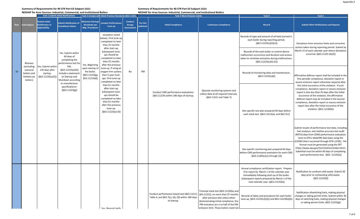**NESHAP for Area Sources: Industrial, Commercial, and Institutional Boilers**

#### **Summary of Requirements for 40 CFR Part 63 Subpart JJJJJJ:**

|            | <b>Task 1 Submit Initial Notifications</b>                       |                                                                         |                                                                                                            | Task 2 Comply with Work Practice Standards (§63.11201,            |                                                                                                                                                                          |                                                      | <b>Task 3 Meet Emission Limits</b> |                                                                                                                 |                                                                                                                                                                                                                                                 | Task 4                                                                                                                                                                                                                                  | Task 5                                                                                                                                                                                                                                                                                                                                                                                                                                                                                                                                                                                                                                               |
|------------|------------------------------------------------------------------|-------------------------------------------------------------------------|------------------------------------------------------------------------------------------------------------|-------------------------------------------------------------------|--------------------------------------------------------------------------------------------------------------------------------------------------------------------------|------------------------------------------------------|------------------------------------|-----------------------------------------------------------------------------------------------------------------|-------------------------------------------------------------------------------------------------------------------------------------------------------------------------------------------------------------------------------------------------|-----------------------------------------------------------------------------------------------------------------------------------------------------------------------------------------------------------------------------------------|------------------------------------------------------------------------------------------------------------------------------------------------------------------------------------------------------------------------------------------------------------------------------------------------------------------------------------------------------------------------------------------------------------------------------------------------------------------------------------------------------------------------------------------------------------------------------------------------------------------------------------------------------|
| <b>Row</b> | ubcategory                                                       | <b>Submit Initial</b><br><b>Notification of</b><br><b>Applicability</b> | <b>Submit Notification of</b><br><b>Compliance Status</b>                                                  | <b>Minimize Startup/</b><br>Shutdown per<br>Mfg. Procedures       | <b>Conduct Performance</b><br>Tune-up                                                                                                                                    | <b>Conduct</b><br><b>Energy</b><br><b>Assessment</b> | For this<br>pollutant              | <b>Initial Compliance</b>                                                                                       | <b>Continuous Compliance</b>                                                                                                                                                                                                                    | <b>Record</b>                                                                                                                                                                                                                           | <b>Submit Other Notifications and Reports</b>                                                                                                                                                                                                                                                                                                                                                                                                                                                                                                                                                                                                        |
|            |                                                                  |                                                                         |                                                                                                            |                                                                   | exception noted<br>below). First tune-up<br>completed no later<br>than 25 months                                                                                         |                                                      |                                    |                                                                                                                 |                                                                                                                                                                                                                                                 | Records of type and amount of all fuels burned in<br>each boiler during reporting period.<br>(§63.11225(c)(2)(iv))                                                                                                                      | Deviations from emission limits and corrective<br>actions taken during reporting period. Submit by                                                                                                                                                                                                                                                                                                                                                                                                                                                                                                                                                   |
|            | <b>Biomass</b>                                                   |                                                                         | Yes. Submit within<br>60 days of<br>completing the<br>performance test for                                 | Yes. Beginning                                                    | after start-up,<br>Subsequent tune-<br>ups should be<br>completed no later<br>than 25 months<br>after the previous                                                       |                                                      |                                    |                                                                                                                 |                                                                                                                                                                                                                                                 | Records of the each boiler or control device<br>malfunction occurrence and duration and actions<br>taken to minimize emissions during malfunctions.<br>$(§63.11225(c)(4)-(5))$                                                          | March 15 of each calendar year where deviations<br>occurred. (§63.11225 (b)(3))                                                                                                                                                                                                                                                                                                                                                                                                                                                                                                                                                                      |
| 10         | (excluding<br>seasonal<br>boilers and<br>limited-use<br>boilers) | Yes. Submit within<br>120 days after<br>startup.<br>(§63.11225(a)(2))   | PM.<br>(§63.11225(a)(4))<br>Include a statement<br>on Startup and<br>Shutdown according<br>to manufacturer | upon startup of<br>the boiler.<br>(§63.11223(g)<br>\$63.11214(d)] | tune-up. If using an<br>oxygen trim system,<br>then 5-year tune-<br>ups. First tune-up<br>completed no later                                                             | No                                                   | PM                                 |                                                                                                                 |                                                                                                                                                                                                                                                 | Records of monitoring data and maintenance.<br>(§63.11225(c)(6)                                                                                                                                                                         | Affirmative defense report shall be included in the<br>first periodic compliance, deviation report or<br>excess emission report otherwise required after                                                                                                                                                                                                                                                                                                                                                                                                                                                                                             |
|            |                                                                  |                                                                         | specifications><br>(§63.11223(g))                                                                          |                                                                   | than 61 months<br>after start-up,<br>Subsequent tune-<br>ups should be<br>completed no later<br>than 61 months<br>after the previous<br>tune-up.<br>$(§63.11223(a)-(f))$ |                                                      |                                    | Conduct CMS performance evaluations<br>(§63.11224) within 180 days of startup.                                  | Operate monitoring systems and<br>collect data at all required intervals.<br>(§63.11221 and Table 7)                                                                                                                                            | Site-specific test plan prepared 60 days before<br>each stack test. (§63.11212(a), and §63.7(c))                                                                                                                                        | the initial occurence of the violation. If such<br>compliance, deviation report or excess emission<br>report is due less than 45 days after the initial<br>occurence of the violation, the affirmative<br>defense report may be included in the second<br>compliance, deviation report or excess emission<br>report due after the initial occurence of the<br>violation. (§63.11226(b))<br>Submit results of performance test data, including<br>fuel analyses, and relative accuracy test audit<br>(RATA) data from CEMS performance evaluation<br>tests to EPA's WebFIRE data base using the<br>(CEDRI) that is accessed through EPA's (CDX). File |
|            |                                                                  |                                                                         |                                                                                                            |                                                                   |                                                                                                                                                                          |                                                      |                                    |                                                                                                                 |                                                                                                                                                                                                                                                 | Site-specific monitoring plan prepared 60 days<br>before CMS performance evaluation for each CMS<br>$(§63.11205(c)(1)$ through $(3))$                                                                                                   | format must be generated using the ERT<br><http: chief="" ert="" index.html="" ttn="" www.epa.gov=""><br/>Submittal must be within 60 days of completing<br/>each performance test. (§63. 11225(e))</http:>                                                                                                                                                                                                                                                                                                                                                                                                                                          |
|            |                                                                  |                                                                         |                                                                                                            |                                                                   |                                                                                                                                                                          |                                                      |                                    |                                                                                                                 |                                                                                                                                                                                                                                                 | Annual compliance certification report. Prepare<br>first report by March 1 of the calendar year<br>immediately following start-up of the boiler.<br>Subsequent reports prepared by March 1 of the<br>next calendar year. (§63.11225(b)) | Notification to combust solid waste. Submit 30<br>days prior to combusting solid waste.<br>(§63.11225(f))                                                                                                                                                                                                                                                                                                                                                                                                                                                                                                                                            |
|            |                                                                  |                                                                         |                                                                                                            |                                                                   | Voc Rionnial (with                                                                                                                                                       |                                                      |                                    | Conduct performance (stack) test (§63.11212,<br>Table 4, and §63.7(c), (d), (f)) within 180 days<br>of startup. | Triennial stack test (§63.11220(a) and<br>§63.11212), no more than 37 months<br>after previous test unless when<br>demonstrating initial compliance, the<br>PM emissions are $\leq$ to half of the PM<br>emission limit. Those boilers need not | Records of dates and procedures for each boiler<br>tune up. (§63.11225(c)(2)(i) and §63.11223(b)(6))                                                                                                                                    | Notification ofswitching fuels, making physical<br>changes or taking permit limits. Submit within 30<br>days of switching fuels, making physical changes<br>or taking permit limits. (§63.11225(g))                                                                                                                                                                                                                                                                                                                                                                                                                                                  |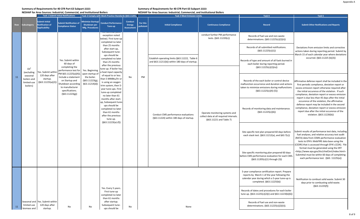#### **Summary of Requirements for 40 CFR Part 63 Subpart JJJJJJ:**

**NESHAP for Area Sources: Industrial, Commercial, and Institutional Boilers**

|     | <b>Task 1 Submit Initial Notifications</b>                       |                                                                         | Task 2 Comply with Work Practice Standards (§63.11201,                                                                                     |                                                                    | <b>Task 3 Meet Emission Limits</b>                                                                                                                                                |                                                      |                       | Task 4                                                                                          | Task 5                                                                                               |                                                                                                                                                                                |                                                                                                                                                                                                                                                                                                                     |
|-----|------------------------------------------------------------------|-------------------------------------------------------------------------|--------------------------------------------------------------------------------------------------------------------------------------------|--------------------------------------------------------------------|-----------------------------------------------------------------------------------------------------------------------------------------------------------------------------------|------------------------------------------------------|-----------------------|-------------------------------------------------------------------------------------------------|------------------------------------------------------------------------------------------------------|--------------------------------------------------------------------------------------------------------------------------------------------------------------------------------|---------------------------------------------------------------------------------------------------------------------------------------------------------------------------------------------------------------------------------------------------------------------------------------------------------------------|
| Row | Subcategory                                                      | <b>Submit Initial</b><br><b>Notification of</b><br><b>Applicability</b> | <b>Submit Notification of</b><br><b>Compliance Status</b>                                                                                  | <b>Minimize Startup/</b><br><b>Shutdown per</b><br>Mfg. Procedures | <b>Conduct Performance</b><br>Tune-up                                                                                                                                             | <b>Conduct</b><br><b>Energy</b><br><b>Assessment</b> | For this<br>pollutant | <b>Initial Compliance</b>                                                                       | <b>Continuous Compliance</b>                                                                         | <b>Record</b>                                                                                                                                                                  | <b>Submit Other Notifications and Reports</b>                                                                                                                                                                                                                                                                       |
|     |                                                                  |                                                                         |                                                                                                                                            |                                                                    | exception noted<br>below). First tune-up<br>completed no later                                                                                                                    |                                                      |                       |                                                                                                 | conduct further PM performance<br>tests. (§63.11220(c))                                              | Records of fuel use and non-waste<br>determinations. (§63.11225(c)(2)(ii))                                                                                                     |                                                                                                                                                                                                                                                                                                                     |
|     |                                                                  |                                                                         |                                                                                                                                            |                                                                    | than 25 months<br>after start-up,<br>Subsequent tune-<br>ups should be                                                                                                            |                                                      |                       |                                                                                                 |                                                                                                      | Records of all submitted notifications.<br>(§63.11225(c)(1))                                                                                                                   | Deviations from emission limits and corrective<br>actions taken during reporting period. Submit by<br>March 15 of each calendar year where deviations                                                                                                                                                               |
|     | Oil <sup>1</sup>                                                 |                                                                         | Yes. Submit within<br>60 days of<br>completing the<br>performance test for                                                                 | Yes. Beginning                                                     | completed no later<br>than 25 months<br>after the previous<br>tune-up. If boiler has                                                                                              |                                                      |                       | Establish operating limits (§63.11222, Table 6<br>and §63.11211(b)) within 180 days of startup. |                                                                                                      | Records of type and amount of all fuels burned in<br>each boiler during reporting period.<br>(§63.11225(c)(2)(iv))                                                             | occurred. (§63.11225 (b)(3))                                                                                                                                                                                                                                                                                        |
| 11  | (excluding<br>seasonal<br>boilers and<br>limited-use<br>boilers) | Yes. Submit withir<br>120 days after<br>startup.<br>(§63.11225(a)(2))   | PM §63.11225(a)(4))<br>Include a statement<br>on Startup and<br>Shutdown according<br>to manufacturer<br>specifications.<br>(§63.11223(g)) | upon startup of<br>the boiler.<br>(§63.11223(g),<br>\$63.11214(d)] | a heat input capacity<br>of equal to or less<br>than 5 MMBtu/hr or<br>is using an oxygen<br>trim system, then 5-<br>year tune-ups. First<br>tune-up completed<br>no later than 61 | No                                                   | PM                    |                                                                                                 |                                                                                                      | Records of the each boiler or control device<br>malfunction occurrence and duration and actions<br>taken to minimize emissions during malfunctions<br>$(§63.11225(c)(4)-(5))$  | Affirmative defense report shall be included in the<br>first periodic compliance, deviation report or<br>excess emission report otherwise required after<br>the initial occurence of the violation. If such<br>compliance, deviation report or excess emission<br>report is due less than 45 days after the initial |
|     |                                                                  |                                                                         |                                                                                                                                            |                                                                    | months after start-<br>up, Subsequent tune-<br>ups should be<br>completed no later<br>than 61 months<br>after the previous<br>tune-up.<br>$(§63.11223(a)-(f))$                    |                                                      |                       | Conduct CMS performance evaluations<br>(§63.11224) within 180 days of startup.                  | Operate monitoring systems and<br>collect data at all required intervals.<br>(§63.11221 and Table 7) | Records of monitoring data and maintenance.<br>(§63.11225(c)(6))                                                                                                               | occurence of the violation, the affirmative<br>defense report may be included in the second<br>compliance, deviation report or excess emission<br>report due after the initial occurence of the<br>violation. (§63.11226(b))                                                                                        |
|     |                                                                  |                                                                         |                                                                                                                                            |                                                                    |                                                                                                                                                                                   |                                                      |                       |                                                                                                 |                                                                                                      | Site-specific test plan prepared 60 days before<br>each stack test. (§63.11212(a), and §63.7(c))                                                                               | Submit results of performance test data, including<br>fuel analyses, and relative accuracy test audit<br>(RATA) data from CEMS performance evaluation<br>tests to EPA's WebFIRE data base using the<br>(CEDRI) that is accessed through EPA's (CDX). File                                                           |
|     |                                                                  |                                                                         |                                                                                                                                            |                                                                    |                                                                                                                                                                                   |                                                      |                       |                                                                                                 |                                                                                                      | Site-specific monitoring plan prepared 60 days<br>before CMS performance evaluation for each CMS.<br>(§63.11205(c)(1) through (3))                                             | format must be generated using the ERT<br><http: chief="" ert="" index.html="" ttn="" www.epa.gov=""><br/>Submittal must be within 60 days of completing<br/>each performance test. (§63. 11225(e))</http:>                                                                                                         |
|     |                                                                  |                                                                         |                                                                                                                                            |                                                                    |                                                                                                                                                                                   |                                                      |                       |                                                                                                 |                                                                                                      | 5-year compliance certification report. Prepare<br>reports by March 1 of the year following the<br>calendar year during which a 5-year tune-up is<br>completed. (§63.11225(b)) | Notification to combust solid waste. Submit 30<br>days prior to combusting solid waste.<br>(§63.11225(f))                                                                                                                                                                                                           |
|     |                                                                  |                                                                         |                                                                                                                                            |                                                                    | Yes. Every 5 years.<br>First tune-up<br>completed no later<br>than 61 months                                                                                                      |                                                      |                       |                                                                                                 |                                                                                                      | Records of dates and procedures for each boiler<br>tune up. (§63.11225(c)(2)(i) and §63.11223(b)(6))                                                                           |                                                                                                                                                                                                                                                                                                                     |
| 11  | limited-use<br>biomass and                                       | Seasonal and Yes. Submit within<br>120 days after<br>startup.           | No                                                                                                                                         | No                                                                 | after startup.<br>Subsequent tune-<br>ups should be                                                                                                                               | No                                                   |                       | None                                                                                            |                                                                                                      | Records of fuel use and non-waste<br>determinations. (§63.11225(c)(2)(ii)).                                                                                                    |                                                                                                                                                                                                                                                                                                                     |